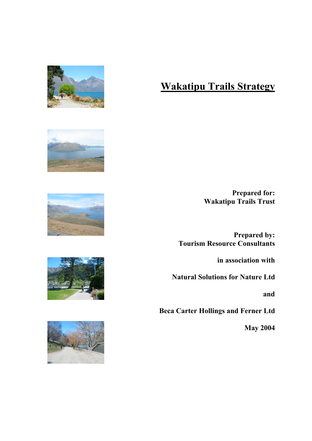

#### Wakatipu Trails Strategy

Prepared for: Wakatipu Trails Trust

Prepared by: Tourism Resource Consultants

in association with

Natural Solutions for Nature Ltd

and

Beca Carter Hollings and Ferner Ltd

May 2004







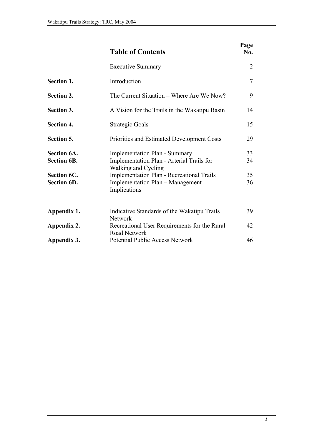|                                                                               | <b>Table of Contents</b>                                                                                                                                                                                         | Page<br>No.          |
|-------------------------------------------------------------------------------|------------------------------------------------------------------------------------------------------------------------------------------------------------------------------------------------------------------|----------------------|
|                                                                               | <b>Executive Summary</b>                                                                                                                                                                                         | 2                    |
| Section 1.                                                                    | Introduction                                                                                                                                                                                                     | $\overline{7}$       |
| <b>Section 2.</b>                                                             | The Current Situation – Where Are We Now?                                                                                                                                                                        | 9                    |
| Section 3.                                                                    | A Vision for the Trails in the Wakatipu Basin                                                                                                                                                                    | 14                   |
| <b>Section 4.</b>                                                             | Strategic Goals                                                                                                                                                                                                  | 15                   |
| Section 5.                                                                    | Priorities and Estimated Development Costs                                                                                                                                                                       | 29                   |
| <b>Section 6A.</b><br><b>Section 6B.</b><br>Section 6C.<br><b>Section 6D.</b> | <b>Implementation Plan - Summary</b><br>Implementation Plan - Arterial Trails for<br>Walking and Cycling<br><b>Implementation Plan - Recreational Trails</b><br>Implementation Plan - Management<br>Implications | 33<br>34<br>35<br>36 |
| Appendix 1.                                                                   | Indicative Standards of the Wakatipu Trails<br><b>Network</b>                                                                                                                                                    | 39                   |
| Appendix 2.<br>Appendix 3.                                                    | Recreational User Requirements for the Rural<br><b>Road Network</b><br><b>Potential Public Access Network</b>                                                                                                    | 42<br>46             |
|                                                                               |                                                                                                                                                                                                                  |                      |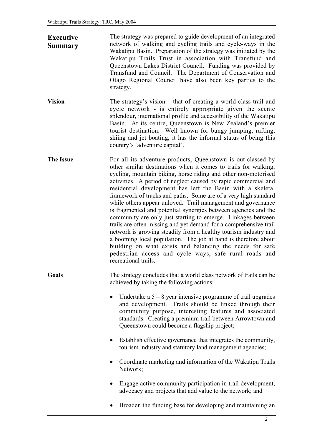| <b>Executive</b><br>Summary | The strategy was prepared to guide development of an integrated<br>network of walking and cycling trails and cycle-ways in the<br>Wakatipu Basin. Preparation of the strategy was initiated by the<br>Wakatipu Trails Trust in association with Transfund and<br>Queenstown Lakes District Council. Funding was provided by<br>Transfund and Council. The Department of Conservation and<br>Otago Regional Council have also been key parties to the<br>strategy.                                                                                                                                                                                                                                                                                                                                                                                                                                                                                              |
|-----------------------------|----------------------------------------------------------------------------------------------------------------------------------------------------------------------------------------------------------------------------------------------------------------------------------------------------------------------------------------------------------------------------------------------------------------------------------------------------------------------------------------------------------------------------------------------------------------------------------------------------------------------------------------------------------------------------------------------------------------------------------------------------------------------------------------------------------------------------------------------------------------------------------------------------------------------------------------------------------------|
| <b>Vision</b>               | The strategy's vision – that of creating a world class trail and<br>cycle network - is entirely appropriate given the scenic<br>splendour, international profile and accessibility of the Wakatipu<br>Basin. At its centre, Queenstown is New Zealand's premier<br>tourist destination. Well known for bungy jumping, rafting,<br>skiing and jet boating, it has the informal status of being this<br>country's 'adventure capital'.                                                                                                                                                                                                                                                                                                                                                                                                                                                                                                                           |
| <b>The Issue</b>            | For all its adventure products, Queenstown is out-classed by<br>other similar destinations when it comes to trails for walking,<br>cycling, mountain biking, horse riding and other non-motorised<br>activities. A period of neglect caused by rapid commercial and<br>residential development has left the Basin with a skeletal<br>framework of tracks and paths. Some are of a very high standard<br>while others appear unloved. Trail management and governance<br>is fragmented and potential synergies between agencies and the<br>community are only just starting to emerge. Linkages between<br>trails are often missing and yet demand for a comprehensive trail<br>network is growing steadily from a healthy tourism industry and<br>a booming local population. The job at hand is therefore about<br>building on what exists and balancing the needs for safe<br>pedestrian access and cycle ways, safe rural roads and<br>recreational trails. |
| Goals                       | The strategy concludes that a world class network of trails can be<br>achieved by taking the following actions:                                                                                                                                                                                                                                                                                                                                                                                                                                                                                                                                                                                                                                                                                                                                                                                                                                                |
|                             | Undertake a $5 - 8$ year intensive programme of trail upgrades<br>٠<br>and development. Trails should be linked through their<br>community purpose, interesting features and associated<br>standards. Creating a premium trail between Arrowtown and<br>Queenstown could become a flagship project;                                                                                                                                                                                                                                                                                                                                                                                                                                                                                                                                                                                                                                                            |
|                             | Establish effective governance that integrates the community,<br>tourism industry and statutory land management agencies;                                                                                                                                                                                                                                                                                                                                                                                                                                                                                                                                                                                                                                                                                                                                                                                                                                      |
|                             | Coordinate marketing and information of the Wakatipu Trails<br>Network;                                                                                                                                                                                                                                                                                                                                                                                                                                                                                                                                                                                                                                                                                                                                                                                                                                                                                        |
|                             | Engage active community participation in trail development,<br>advocacy and projects that add value to the network; and                                                                                                                                                                                                                                                                                                                                                                                                                                                                                                                                                                                                                                                                                                                                                                                                                                        |
|                             | Broaden the funding base for developing and maintaining an                                                                                                                                                                                                                                                                                                                                                                                                                                                                                                                                                                                                                                                                                                                                                                                                                                                                                                     |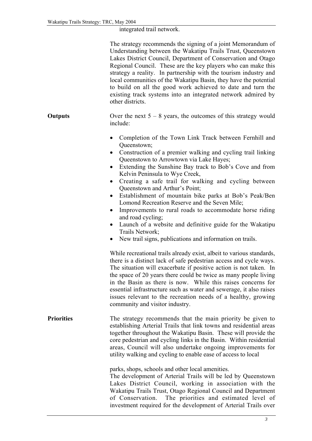#### integrated trail network.

|                   | The strategy recommends the signing of a joint Memorandum of<br>Understanding between the Wakatipu Trails Trust, Queenstown<br>Lakes District Council, Department of Conservation and Otago<br>Regional Council. These are the key players who can make this<br>strategy a reality. In partnership with the tourism industry and<br>local communities of the Wakatipu Basin, they have the potential<br>to build on all the good work achieved to date and turn the<br>existing track systems into an integrated network admired by<br>other districts.                                                                                                                                                                                                            |
|-------------------|--------------------------------------------------------------------------------------------------------------------------------------------------------------------------------------------------------------------------------------------------------------------------------------------------------------------------------------------------------------------------------------------------------------------------------------------------------------------------------------------------------------------------------------------------------------------------------------------------------------------------------------------------------------------------------------------------------------------------------------------------------------------|
| <b>Outputs</b>    | Over the next $5 - 8$ years, the outcomes of this strategy would<br>include:                                                                                                                                                                                                                                                                                                                                                                                                                                                                                                                                                                                                                                                                                       |
|                   | Completion of the Town Link Track between Fernhill and<br>Queenstown;<br>Construction of a premier walking and cycling trail linking<br>$\bullet$<br>Queenstown to Arrowtown via Lake Hayes;<br>Extending the Sunshine Bay track to Bob's Cove and from<br>$\bullet$<br>Kelvin Peninsula to Wye Creek,<br>Creating a safe trail for walking and cycling between<br>Queenstown and Arthur's Point;<br>Establishment of mountain bike parks at Bob's Peak/Ben<br>$\bullet$<br>Lomond Recreation Reserve and the Seven Mile;<br>Improvements to rural roads to accommodate horse riding<br>and road cycling;<br>Launch of a website and definitive guide for the Wakatipu<br>$\bullet$<br>Trails Network;<br>New trail signs, publications and information on trails. |
|                   | While recreational trails already exist, albeit to various standards,<br>there is a distinct lack of safe pedestrian access and cycle ways.<br>The situation will exacerbate if positive action is not taken. In<br>the space of 20 years there could be twice as many people living<br>in the Basin as there is now. While this raises concerns for<br>essential infrastructure such as water and sewerage, it also raises<br>issues relevant to the recreation needs of a healthy, growing<br>community and visitor industry.                                                                                                                                                                                                                                    |
| <b>Priorities</b> | The strategy recommends that the main priority be given to<br>establishing Arterial Trails that link towns and residential areas<br>together throughout the Wakatipu Basin. These will provide the<br>core pedestrian and cycling links in the Basin. Within residential<br>areas, Council will also undertake ongoing improvements for<br>utility walking and cycling to enable ease of access to local                                                                                                                                                                                                                                                                                                                                                           |
|                   | parks, shops, schools and other local amenities.<br>The development of Arterial Trails will be led by Queenstown<br>Lakes District Council, working in association with the<br>Wakatipu Trails Trust, Otago Regional Council and Department<br>The priorities and estimated level of<br>of Conservation.<br>investment required for the development of Arterial Trails over                                                                                                                                                                                                                                                                                                                                                                                        |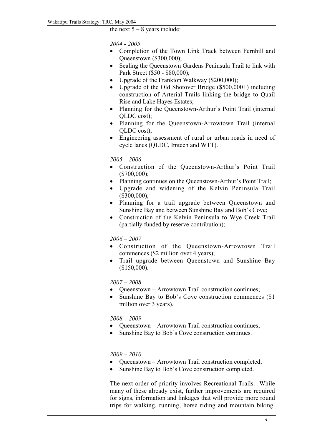the next  $5 - 8$  years include:

*2004 - 2005*

- Completion of the Town Link Track between Fernhill and Queenstown (\$300,000);
- Sealing the Queenstown Gardens Peninsula Trail to link with Park Street (\$50 - \$80,000);
- Upgrade of the Frankton Walkway (\$200,000);
- Upgrade of the Old Shotover Bridge  $(\$500,000+)$  including construction of Arterial Trails linking the bridge to Quail Rise and Lake Hayes Estates;
- Planning for the Queenstown-Arthur's Point Trail (internal QLDC cost);
- Planning for the Oueenstown-Arrowtown Trail (internal QLDC cost);
- Engineering assessment of rural or urban roads in need of cycle lanes (QLDC, Imtech and WTT).

*2005 – 2006*

- Construction of the Queenstown-Arthur's Point Trail  $($700,000)$ ;
- Planning continues on the Queenstown-Arthur's Point Trail;
- Upgrade and widening of the Kelvin Peninsula Trail (\$300,000);
- Planning for a trail upgrade between Queenstown and Sunshine Bay and between Sunshine Bay and Bob's Cove;
- Construction of the Kelvin Peninsula to Wye Creek Trail (partially funded by reserve contribution);

*2006 – 2007*

- Construction of the Queenstown-Arrowtown Trail commences (\$2 million over 4 years);
- Trail upgrade between Queenstown and Sunshine Bay (\$150,000).

*2007 – 2008*

- Queenstown Arrowtown Trail construction continues;
- Sunshine Bay to Bob's Cove construction commences (\$1) million over 3 years).

*2008 – 2009*

- Queenstown Arrowtown Trail construction continues;
- Sunshine Bay to Bob's Cove construction continues.

#### *2009 – 2010*

- Queenstown Arrowtown Trail construction completed;
- Sunshine Bay to Bob's Cove construction completed.

The next order of priority involves Recreational Trails. While many of these already exist, further improvements are required for signs, information and linkages that will provide more round trips for walking, running, horse riding and mountain biking.

 $T_{\rm eff}$  Trails Trust will facilitate these projects, in the se projects, in the se projects, in the set projects, in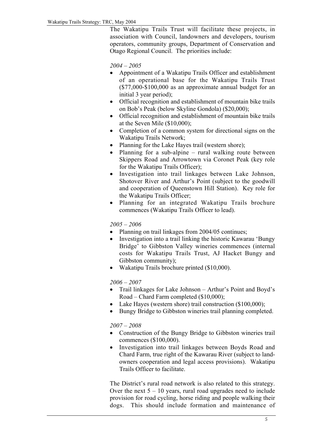The Wakatipu Trails Trust will facilitate these projects, in association with Council, landowners and developers, tourism operators, community groups, Department of Conservation and Otago Regional Council. The priorities include:

*2004 – 2005*

- Appointment of a Wakatipu Trails Officer and establishment of an operational base for the Wakatipu Trails Trust (\$77,000-\$100,000 as an approximate annual budget for an initial 3 year period);
- Official recognition and establishment of mountain bike trails on Bob's Peak (below Skyline Gondola) (\$20,000);
- Official recognition and establishment of mountain bike trails at the Seven Mile (\$10,000);
- Completion of a common system for directional signs on the Wakatipu Trails Network;
- Planning for the Lake Hayes trail (western shore);
- Planning for a sub-alpine rural walking route between Skippers Road and Arrowtown via Coronet Peak (key role for the Wakatipu Trails Officer);
- Investigation into trail linkages between Lake Johnson, Shotover River and Arthur's Point (subject to the goodwill and cooperation of Queenstown Hill Station). Key role for the Wakatipu Trails Officer;
- Planning for an integrated Wakatipu Trails brochure commences (Wakatipu Trails Officer to lead).

#### *2005 – 2006*

- Planning on trail linkages from 2004/05 continues;
- Investigation into a trail linking the historic Kawarau 'Bungy Bridge' to Gibbston Valley wineries commences (internal costs for Wakatipu Trails Trust, AJ Hacket Bungy and Gibbston community);
- Wakatipu Trails brochure printed (\$10,000).

#### *2006 – 2007*

- Trail linkages for Lake Johnson Arthur's Point and Boyd's Road – Chard Farm completed (\$10,000);
- Lake Hayes (western shore) trail construction (\$100,000);
- Bungy Bridge to Gibbston wineries trail planning completed.

#### *2007 – 2008*

- Construction of the Bungy Bridge to Gibbston wineries trail commences (\$100,000).
- Investigation into trail linkages between Boyds Road and Chard Farm, true right of the Kawarau River (subject to landowners cooperation and legal access provisions). Wakatipu Trails Officer to facilitate.

The District's rural road network is also related to this strategy. Over the next  $5 - 10$  years, rural road upgrades need to include provision for road cycling, horse riding and people walking their dogs. This should include formation and maintenance of

shoulders, bridal paths and possibly marked lanes. An analysis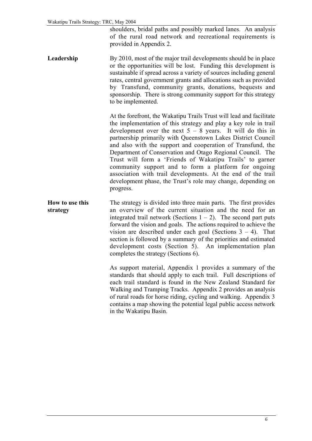shoulders, bridal paths and possibly marked lanes. An analysis of the rural road network and recreational requirements is provided in Appendix 2.

Leadership By 2010, most of the major trail developments should be in place or the opportunities will be lost. Funding this development is sustainable if spread across a variety of sources including general rates, central government grants and allocations such as provided by Transfund, community grants, donations, bequests and sponsorship. There is strong community support for this strategy to be implemented.

> At the forefront, the Wakatipu Trails Trust will lead and facilitate the implementation of this strategy and play a key role in trail development over the next  $5 - 8$  years. It will do this in partnership primarily with Queenstown Lakes District Council and also with the support and cooperation of Transfund, the Department of Conservation and Otago Regional Council. The Trust will form a 'Friends of Wakatipu Trails' to garner community support and to form a platform for ongoing association with trail developments. At the end of the trail development phase, the Trust's role may change, depending on progress.

How to use this strategy The strategy is divided into three main parts. The first provides an overview of the current situation and the need for an integrated trail network (Sections  $1 - 2$ ). The second part puts forward the vision and goals. The actions required to achieve the vision are described under each goal (Sections  $3 - 4$ ). That section is followed by a summary of the priorities and estimated development costs (Section 5). An implementation plan completes the strategy (Sections 6).

> As support material, Appendix 1 provides a summary of the standards that should apply to each trail. Full descriptions of each trail standard is found in the New Zealand Standard for Walking and Tramping Tracks. Appendix 2 provides an analysis of rural roads for horse riding, cycling and walking. Appendix 3 contains a map showing the potential legal public access network in the Wakatipu Basin.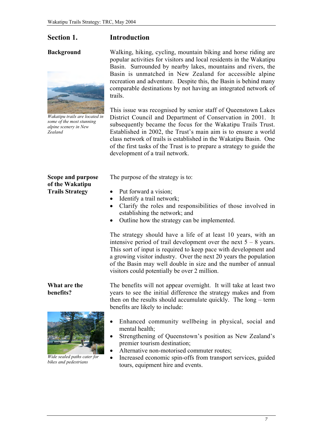#### Section 1. Introduction

#### Background



*Wakatipu trails are located in some of the most stunning alpine scenery in New Zealand*

Scope and purpose of the Wakatipu Trails Strategy

#### What are the benefits?



*Wide sealed paths cater for bikes and pedestrians*

Walking, hiking, cycling, mountain biking and horse riding are popular activities for visitors and local residents in the Wakatipu Basin. Surrounded by nearby lakes, mountains and rivers, the Basin is unmatched in New Zealand for accessible alpine recreation and adventure. Despite this, the Basin is behind many comparable destinations by not having an integrated network of trails.

This issue was recognised by senior staff of Queenstown Lakes District Council and Department of Conservation in 2001. It subsequently became the focus for the Wakatipu Trails Trust. Established in 2002, the Trust's main aim is to ensure a world class network of trails is established in the Wakatipu Basin. One of the first tasks of the Trust is to prepare a strategy to guide the development of a trail network.

The purpose of the strategy is to:

- Put forward a vision;
- Identify a trail network;
- Clarify the roles and responsibilities of those involved in establishing the network; and
- Outline how the strategy can be implemented.

The strategy should have a life of at least 10 years, with an intensive period of trail development over the next  $5 - 8$  years. This sort of input is required to keep pace with development and a growing visitor industry. Over the next 20 years the population of the Basin may well double in size and the number of annual visitors could potentially be over 2 million.

The benefits will not appear overnight. It will take at least two years to see the initial difference the strategy makes and from then on the results should accumulate quickly. The long – term benefits are likely to include:

- Enhanced community wellbeing in physical, social and mental health;
- Strengthening of Queenstown's position as New Zealand's premier tourism destination;
- Alternative non-motorised commuter routes;
- Increased economic spin-offs from transport services, guided tours, equipment hire and events.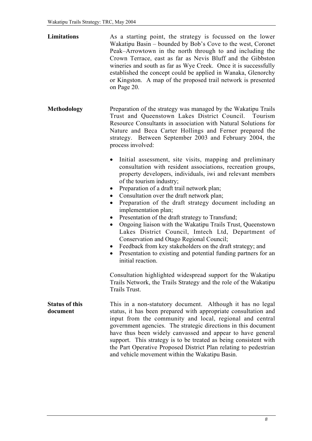| Limitations                       | As a starting point, the strategy is focussed on the lower<br>Wakatipu Basin - bounded by Bob's Cove to the west, Coronet<br>Peak–Arrowtown in the north through to and including the<br>Crown Terrace, east as far as Nevis Bluff and the Gibbston<br>wineries and south as far as Wye Creek. Once it is successfully<br>established the concept could be applied in Wanaka, Glenorchy<br>or Kingston. A map of the proposed trail network is presented<br>on Page 20.                                                                                                                                                                                                                                                                |
|-----------------------------------|----------------------------------------------------------------------------------------------------------------------------------------------------------------------------------------------------------------------------------------------------------------------------------------------------------------------------------------------------------------------------------------------------------------------------------------------------------------------------------------------------------------------------------------------------------------------------------------------------------------------------------------------------------------------------------------------------------------------------------------|
| <b>Methodology</b>                | Preparation of the strategy was managed by the Wakatipu Trails<br>Trust and Queenstown Lakes District Council. Tourism<br>Resource Consultants in association with Natural Solutions for<br>Nature and Beca Carter Hollings and Ferner prepared the<br>strategy. Between September 2003 and February 2004, the<br>process involved:<br>Initial assessment, site visits, mapping and preliminary<br>consultation with resident associations, recreation groups,                                                                                                                                                                                                                                                                         |
|                                   | property developers, individuals, iwi and relevant members<br>of the tourism industry;<br>Preparation of a draft trail network plan;<br>$\bullet$<br>Consultation over the draft network plan;<br>$\bullet$<br>Preparation of the draft strategy document including an<br>$\bullet$<br>implementation plan;<br>Presentation of the draft strategy to Transfund;<br>$\bullet$<br>Ongoing liaison with the Wakatipu Trails Trust, Queenstown<br>$\bullet$<br>Lakes District Council, Imtech Ltd, Department of<br>Conservation and Otago Regional Council;<br>Feedback from key stakeholders on the draft strategy; and<br>$\bullet$<br>Presentation to existing and potential funding partners for an<br>$\bullet$<br>initial reaction. |
|                                   | Consultation highlighted widespread support for the Wakatipu<br>Trails Network, the Trails Strategy and the role of the Wakatipu<br>Trails Trust.                                                                                                                                                                                                                                                                                                                                                                                                                                                                                                                                                                                      |
| <b>Status of this</b><br>document | This in a non-statutory document. Although it has no legal<br>status, it has been prepared with appropriate consultation and<br>input from the community and local, regional and central<br>government agencies. The strategic directions in this document<br>have thus been widely canvassed and appear to have general<br>support. This strategy is to be treated as being consistent with<br>the Part Operative Proposed District Plan relating to pedestrian<br>and vehicle movement within the Wakatipu Basin.                                                                                                                                                                                                                    |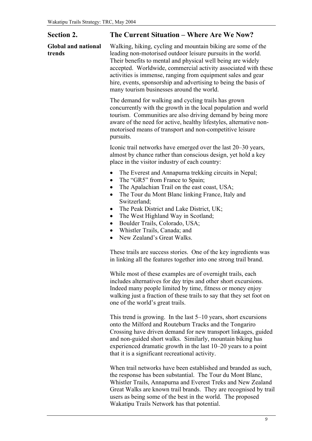| <b>Section 2.</b>                    | The Current Situation – Where Are We Now?                                                                                                                                                                                                                                                                                                                                                                                                                                                              |  |  |  |  |
|--------------------------------------|--------------------------------------------------------------------------------------------------------------------------------------------------------------------------------------------------------------------------------------------------------------------------------------------------------------------------------------------------------------------------------------------------------------------------------------------------------------------------------------------------------|--|--|--|--|
| <b>Global and national</b><br>trends | Walking, hiking, cycling and mountain biking are some of the<br>leading non-motorised outdoor leisure pursuits in the world.<br>Their benefits to mental and physical well being are widely<br>accepted. Worldwide, commercial activity associated with these<br>activities is immense, ranging from equipment sales and gear<br>hire, events, sponsorship and advertising to being the basis of<br>many tourism businesses around the world.                                                          |  |  |  |  |
|                                      | The demand for walking and cycling trails has grown<br>concurrently with the growth in the local population and world<br>tourism. Communities are also driving demand by being more<br>aware of the need for active, healthy lifestyles, alternative non-<br>motorised means of transport and non-competitive leisure<br>pursuits.                                                                                                                                                                     |  |  |  |  |
|                                      | Iconic trail networks have emerged over the last 20–30 years,<br>almost by chance rather than conscious design, yet hold a key<br>place in the visitor industry of each country:                                                                                                                                                                                                                                                                                                                       |  |  |  |  |
|                                      | The Everest and Annapurna trekking circuits in Nepal;<br>The "GR5" from France to Spain;<br>$\bullet$<br>The Apalachian Trail on the east coast, USA;<br>$\bullet$<br>The Tour du Mont Blanc linking France, Italy and<br>$\bullet$<br>Switzerland;<br>The Peak District and Lake District, UK;<br>$\bullet$<br>The West Highland Way in Scotland;<br>$\bullet$<br>Boulder Trails, Colorado, USA;<br>$\bullet$<br>Whistler Trails, Canada; and<br>$\bullet$<br>New Zealand's Great Walks.<br>$\bullet$ |  |  |  |  |
|                                      | These trails are success stories. One of the key ingredients was<br>in linking all the features together into one strong trail brand.                                                                                                                                                                                                                                                                                                                                                                  |  |  |  |  |
|                                      | While most of these examples are of overnight trails, each<br>includes alternatives for day trips and other short excursions.<br>Indeed many people limited by time, fitness or money enjoy<br>walking just a fraction of these trails to say that they set foot on<br>one of the world's great trails.                                                                                                                                                                                                |  |  |  |  |
|                                      | This trend is growing. In the last $5-10$ years, short excursions<br>onto the Milford and Routeburn Tracks and the Tongariro<br>Crossing have driven demand for new transport linkages, guided<br>and non-guided short walks. Similarly, mountain biking has<br>experienced dramatic growth in the last 10–20 years to a point<br>that it is a significant recreational activity.                                                                                                                      |  |  |  |  |

When trail networks have been established and branded as such, the response has been substantial. The Tour du Mont Blanc, Whistler Trails, Annapurna and Everest Treks and New Zealand Great Walks are known trail brands. They are recognised by trail users as being some of the best in the world. The proposed Wakatipu Trails Network has that potential.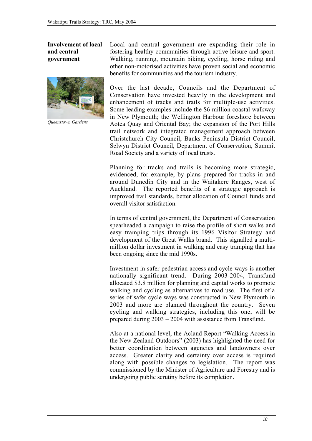#### Involvement of local and central government



*Queenstown Gardens*

Local and central government are expanding their role in fostering healthy communities through active leisure and sport. Walking, running, mountain biking, cycling, horse riding and other non-motorised activities have proven social and economic benefits for communities and the tourism industry.

Over the last decade, Councils and the Department of Conservation have invested heavily in the development and enhancement of tracks and trails for multiple-use activities. Some leading examples include the \$6 million coastal walkway in New Plymouth; the Wellington Harbour foreshore between Aotea Quay and Oriental Bay; the expansion of the Port Hills trail network and integrated management approach between Christchurch City Council, Banks Peninsula District Council, Selwyn District Council, Department of Conservation, Summit Road Society and a variety of local trusts.

Planning for tracks and trails is becoming more strategic, evidenced, for example, by plans prepared for tracks in and around Dunedin City and in the Waitakere Ranges, west of Auckland. The reported benefits of a strategic approach is improved trail standards, better allocation of Council funds and overall visitor satisfaction.

In terms of central government, the Department of Conservation spearheaded a campaign to raise the profile of short walks and easy tramping trips through its 1996 Visitor Strategy and development of the Great Walks brand. This signalled a multimillion dollar investment in walking and easy tramping that has been ongoing since the mid 1990s.

Investment in safer pedestrian access and cycle ways is another nationally significant trend. During 2003-2004, Transfund allocated \$3.8 million for planning and capital works to promote walking and cycling as alternatives to road use. The first of a series of safer cycle ways was constructed in New Plymouth in 2003 and more are planned throughout the country. Seven cycling and walking strategies, including this one, will be prepared during 2003 – 2004 with assistance from Transfund.

Also at a national level, the Acland Report "Walking Access in the New Zealand Outdoors" (2003) has highlighted the need for better coordination between agencies and landowners over access. Greater clarity and certainty over access is required along with possible changes to legislation. The report was commissioned by the Minister of Agriculture and Forestry and is undergoing public scrutiny before its completion.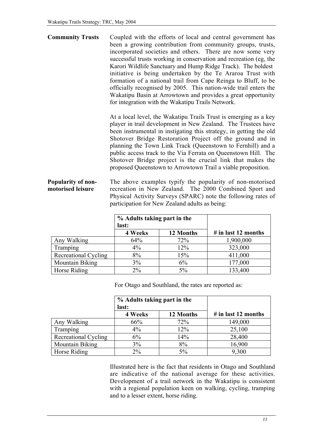Community Trusts Coupled with the efforts of local and central government has been a growing contribution from community groups, trusts, incorporated societies and others. There are now some very successful trusts working in conservation and recreation (eg, the Karori Wildlife Sanctuary and Hump Ridge Track). The boldest initiative is being undertaken by the Te Araroa Trust with formation of a national trail from Cape Reinga to Bluff, to be officially recognised by 2005. This nation-wide trail enters the Wakatipu Basin at Arrowtown and provides a great opportunity for integration with the Wakatipu Trails Network.

> At a local level, the Wakatipu Trails Trust is emerging as a key player in trail development in New Zealand. The Trustees have been instrumental in instigating this strategy, in getting the old Shotover Bridge Restoration Project off the ground and in planning the Town Link Track (Queenstown to Fernhill) and a public access track to the Via Ferrata on Queenstown Hill. The Shotover Bridge project is the crucial link that makes the proposed Queenstown to Arrowtown Trail a viable proposition.

Popularity of nonmotorised leisure The above examples typify the popularity of non-motorised recreation in New Zealand. The 2000 Combined Sport and Physical Activity Surveys (SPARC) note the following rates of participation for New Zealand adults as being:

|                        | % Adults taking part in the<br>last: |           |                     |
|------------------------|--------------------------------------|-----------|---------------------|
|                        | 4 Weeks                              | 12 Months | # in last 12 months |
| Any Walking            | 64%                                  | 72%       | 1,900,000           |
| Tramping               | $4\%$                                | 12%       | 323,000             |
| Recreational Cycling   | 8%                                   | 15%       | 411,000             |
| <b>Mountain Biking</b> | 3%                                   | 6%        | 177,000             |
| Horse Riding           | $2\%$                                | 5%        | 133,400             |

For Otago and Southland, the rates are reported as:

|                        | % Adults taking part in the<br>last: |           |                     |
|------------------------|--------------------------------------|-----------|---------------------|
|                        | 4 Weeks                              | 12 Months | # in last 12 months |
| Any Walking            | 66%                                  | 72%       | 149,000             |
| Tramping               | $4\%$                                | 12%       | 25,100              |
| Recreational Cycling   | 6%                                   | 14%       | 28,400              |
| <b>Mountain Biking</b> | 3%                                   | 8%        | 16,900              |
| Horse Riding           | 2%                                   | $5\%$     | 9,300               |

Illustrated here is the fact that residents in Otago and Southland are indicative of the national average for these activities. Development of a trail network in the Wakatipu is consistent with a regional population keen on walking, cycling, tramping and to a lesser extent, horse riding.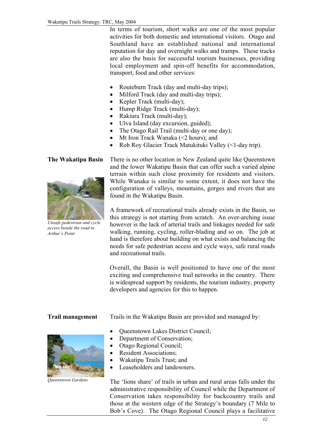In terms of tourism, short walks are one of the most popular activities for both domestic and international visitors. Otago and Southland have an established national and international reputation for day and overnight walks and tramps. These tracks are also the basis for successful tourism businesses, providing local employment and spin-off benefits for accommodation, transport, food and other services:

- Routeburn Track (day and multi-day trips);
- Milford Track (day and multi-day trips);
- Kepler Track (multi-day);
- Hump Ridge Track (multi-day);
- Rakiura Track (multi-day);
- Ulva Island (day excursion, guided);
- The Otago Rail Trail (multi-day or one day);
- Mt Iron Track Wanaka (<2 hours); and
- Rob Roy Glacier Track Matukituki Valley (<1-day trip).

#### The Wakatipu Basin



*Unsafe pedestrian and cycle access beside the road to Arthur's Point*

There is no other location in New Zealand quite like Queenstown and the lower Wakatipu Basin that can offer such a varied alpine terrain within such close proximity for residents and visitors. While Wanaka is similar to some extent, it does not have the configuration of valleys, mountains, gorges and rivers that are found in the Wakatipu Basin.

A framework of recreational trails already exists in the Basin, so this strategy is not starting from scratch. An over-arching issue however is the lack of arterial trails and linkages needed for safe walking, running, cycling, roller-blading and so on. The job at hand is therefore about building on what exists and balancing the needs for safe pedestrian access and cycle ways, safe rural roads and recreational trails.

Overall, the Basin is well positioned to have one of the most exciting and comprehensive trail networks in the country. There is widespread support by residents, the tourism industry, property developers and agencies for this to happen.

#### Trail management



*Queenstown Gardens*

Trails in the Wakatipu Basin are provided and managed by:

- Queenstown Lakes District Council;
- Department of Conservation;
- Otago Regional Council;
- Resident Associations;
- Wakatipu Trails Trust; and
- Leaseholders and landowners.

The 'lions share' of trails in urban and rural areas falls under the administrative responsibility of Council while the Department of Conservation takes responsibility for backcountry trails and those at the western edge of the Strategy's boundary (7 Mile to Bob's Cove). The Otago Regional Council plays a facilitative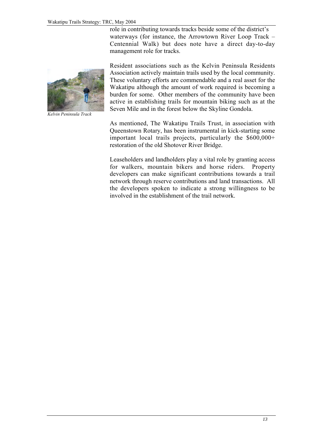role in contributing towards tracks beside some of the district's waterways (for instance, the Arrowtown River Loop Track – Centennial Walk) but does note have a direct day-to-day management role for tracks.



*Kelvin Peninsula Track*

Resident associations such as the Kelvin Peninsula Residents Association actively maintain trails used by the local community. These voluntary efforts are commendable and a real asset for the Wakatipu although the amount of work required is becoming a burden for some. Other members of the community have been active in establishing trails for mountain biking such as at the Seven Mile and in the forest below the Skyline Gondola.

As mentioned, The Wakatipu Trails Trust, in association with Queenstown Rotary, has been instrumental in kick-starting some important local trails projects, particularly the \$600,000+ restoration of the old Shotover River Bridge.

Leaseholders and landholders play a vital role by granting access for walkers, mountain bikers and horse riders. Property developers can make significant contributions towards a trail network through reserve contributions and land transactions. All the developers spoken to indicate a strong willingness to be involved in the establishment of the trail network.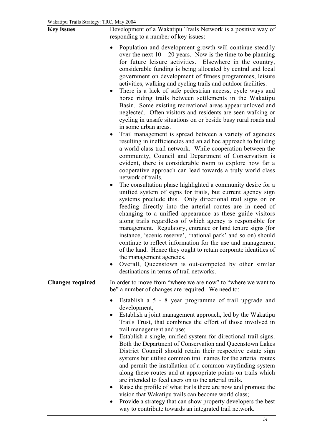| <b>Key issues</b>       | Development of a Wakatipu Trails Network is a positive way of<br>responding to a number of key issues:                                                                                                                                                                                                                                                                                                                                                                                                                                                                                                                                                                                                                                                                                                                                                                                                                                                                                                                                                                                                                                                                                                                                                                                                                                                                                                                                                                                                                                                                                                                                                                                                                                                                                                                                                                                                                                                        |  |  |  |  |
|-------------------------|---------------------------------------------------------------------------------------------------------------------------------------------------------------------------------------------------------------------------------------------------------------------------------------------------------------------------------------------------------------------------------------------------------------------------------------------------------------------------------------------------------------------------------------------------------------------------------------------------------------------------------------------------------------------------------------------------------------------------------------------------------------------------------------------------------------------------------------------------------------------------------------------------------------------------------------------------------------------------------------------------------------------------------------------------------------------------------------------------------------------------------------------------------------------------------------------------------------------------------------------------------------------------------------------------------------------------------------------------------------------------------------------------------------------------------------------------------------------------------------------------------------------------------------------------------------------------------------------------------------------------------------------------------------------------------------------------------------------------------------------------------------------------------------------------------------------------------------------------------------------------------------------------------------------------------------------------------------|--|--|--|--|
|                         | Population and development growth will continue steadily<br>$\bullet$<br>over the next $10 - 20$ years. Now is the time to be planning<br>for future leisure activities. Elsewhere in the country,<br>considerable funding is being allocated by central and local<br>government on development of fitness programmes, leisure<br>activities, walking and cycling trails and outdoor facilities.<br>There is a lack of safe pedestrian access, cycle ways and<br>$\bullet$<br>horse riding trails between settlements in the Wakatipu<br>Basin. Some existing recreational areas appear unloved and<br>neglected. Often visitors and residents are seen walking or<br>cycling in unsafe situations on or beside busy rural roads and<br>in some urban areas.<br>Trail management is spread between a variety of agencies<br>resulting in inefficiencies and an ad hoc approach to building<br>a world class trail network. While cooperation between the<br>community, Council and Department of Conservation is<br>evident, there is considerable room to explore how far a<br>cooperative approach can lead towards a truly world class<br>network of trails.<br>The consultation phase highlighted a community desire for a<br>$\bullet$<br>unified system of signs for trails, but current agency sign<br>systems preclude this. Only directional trail signs on or<br>feeding directly into the arterial routes are in need of<br>changing to a unified appearance as these guide visitors<br>along trails regardless of which agency is responsible for<br>management. Regulatory, entrance or land tenure signs (for<br>instance, 'scenic reserve', 'national park' and so on) should<br>continue to reflect information for the use and management<br>of the land. Hence they ought to retain corporate identities of<br>the management agencies.<br>Overall, Queenstown is out-competed by other similar<br>destinations in terms of trail networks. |  |  |  |  |
| <b>Changes required</b> | In order to move from "where we are now" to "where we want to<br>be" a number of changes are required. We need to:                                                                                                                                                                                                                                                                                                                                                                                                                                                                                                                                                                                                                                                                                                                                                                                                                                                                                                                                                                                                                                                                                                                                                                                                                                                                                                                                                                                                                                                                                                                                                                                                                                                                                                                                                                                                                                            |  |  |  |  |
|                         | Establish a 5 - 8 year programme of trail upgrade and<br>development,<br>Establish a joint management approach, led by the Wakatipu<br>Trails Trust, that combines the effort of those involved in<br>trail management and use;<br>Establish a single, unified system for directional trail signs.<br>$\bullet$<br>Both the Department of Conservation and Queenstown Lakes<br>District Council should retain their respective estate sign<br>systems but utilise common trail names for the arterial routes<br>and permit the installation of a common wayfinding system<br>along these routes and at appropriate points on trails which<br>are intended to feed users on to the arterial trails.<br>Raise the profile of what trails there are now and promote the<br>vision that Wakatipu trails can become world class;<br>Provide a strategy that can show property developers the best<br>way to contribute towards an integrated trail network.                                                                                                                                                                                                                                                                                                                                                                                                                                                                                                                                                                                                                                                                                                                                                                                                                                                                                                                                                                                                        |  |  |  |  |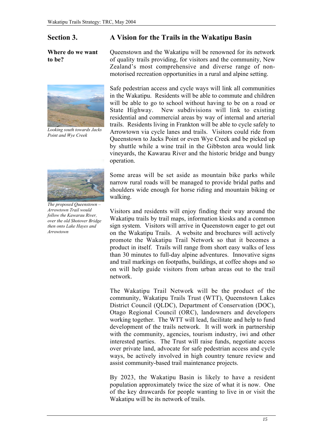#### Where do we want to be?



*Looking south towards Jacks Point and Wye Creek*



*The proposed Queenstown – Arrowtown Trail would follow the Kawarau River, over the old Shotover Bridge then onto Lake Hayes and Arrowtown*

#### Section 3. A Vision for the Trails in the Wakatipu Basin

Queenstown and the Wakatipu will be renowned for its network of quality trails providing, for visitors and the community, New Zealand's most comprehensive and diverse range of nonmotorised recreation opportunities in a rural and alpine setting.

Safe pedestrian access and cycle ways will link all communities in the Wakatipu. Residents will be able to commute and children will be able to go to school without having to be on a road or State Highway. New subdivisions will link to existing residential and commercial areas by way of internal and arterial trails. Residents living in Frankton will be able to cycle safely to Arrowtown via cycle lanes and trails. Visitors could ride from Queenstown to Jacks Point or even Wye Creek and be picked up by shuttle while a wine trail in the Gibbston area would link vineyards, the Kawarau River and the historic bridge and bungy operation.

Some areas will be set aside as mountain bike parks while narrow rural roads will be managed to provide bridal paths and shoulders wide enough for horse riding and mountain biking or walking.

Visitors and residents will enjoy finding their way around the Wakatipu trails by trail maps, information kiosks and a common sign system. Visitors will arrive in Queenstown eager to get out on the Wakatipu Trails. A website and brochures will actively promote the Wakatipu Trail Network so that it becomes a product in itself. Trails will range from short easy walks of less than 30 minutes to full-day alpine adventures. Innovative signs and trail markings on footpaths, buildings, at coffee shops and so on will help guide visitors from urban areas out to the trail network.

The Wakatipu Trail Network will be the product of the community, Wakatipu Trails Trust (WTT), Queenstown Lakes District Council (QLDC), Department of Conservation (DOC), Otago Regional Council (ORC), landowners and developers working together. The WTT will lead, facilitate and help to fund development of the trails network. It will work in partnership with the community, agencies, tourism industry, iwi and other interested parties. The Trust will raise funds, negotiate access over private land, advocate for safe pedestrian access and cycle ways, be actively involved in high country tenure review and assist community-based trail maintenance projects.

By 2023, the Wakatipu Basin is likely to have a resident population approximately twice the size of what it is now. One of the key drawcards for people wanting to live in or visit the Wakatipu will be its network of trails.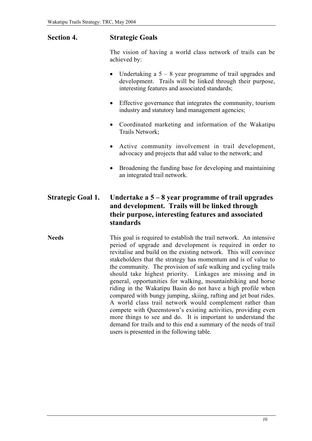#### Section 4. Strategic Goals

The vision of having a world class network of trails can be achieved by:

- Undertaking a  $5 8$  year programme of trail upgrades and development. Trails will be linked through their purpose, interesting features and associated standards;
- Effective governance that integrates the community, tourism industry and statutory land management agencies;
- Coordinated marketing and information of the Wakatipu Trails Network;
- Active community involvement in trail development, advocacy and projects that add value to the network; and
- Broadening the funding base for developing and maintaining an integrated trail network.

#### Strategic Goal 1. Undertake a  $5 - 8$  year programme of trail upgrades and development. Trails will be linked through their purpose, interesting features and associated standards

Needs This goal is required to establish the trail network. An intensive period of upgrade and development is required in order to revitalise and build on the existing network. This will convince stakeholders that the strategy has momentum and is of value to the community. The provision of safe walking and cycling trails should take highest priority. Linkages are missing and in general, opportunities for walking, mountainbiking and horse riding in the Wakatipu Basin do not have a high profile when compared with bungy jumping, skiing, rafting and jet boat rides. A world class trail network would complement rather than compete with Queenstown's existing activities, providing even more things to see and do. It is important to understand the demand for trails and to this end a summary of the needs of trail users is presented in the following table.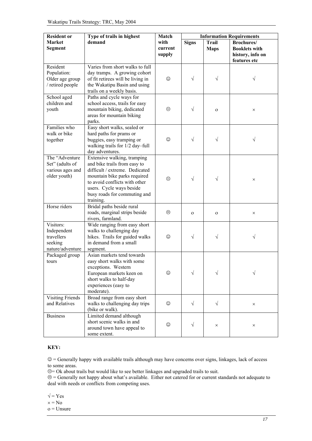| Type of trails in highest<br><b>Resident or</b>                        |                                                                                                                                                                                                                                         | Match                     | <b>Information Requirements</b> |                             |                                                                                |  |
|------------------------------------------------------------------------|-----------------------------------------------------------------------------------------------------------------------------------------------------------------------------------------------------------------------------------------|---------------------------|---------------------------------|-----------------------------|--------------------------------------------------------------------------------|--|
| <b>Market</b><br>Segment                                               | demand                                                                                                                                                                                                                                  | with<br>current<br>supply | <b>Signs</b>                    | <b>Trail</b><br><b>Maps</b> | <b>Brochures</b> /<br><b>Booklets with</b><br>history, info on<br>features etc |  |
| Resident<br>Population:<br>Older age group<br>/ retired people         | Varies from short walks to full<br>day tramps. A growing cohort<br>of fit retirees will be living in<br>the Wakatipu Basin and using<br>trails on a weekly basis.                                                                       | ☺                         | $\sqrt{}$                       | $\sqrt{}$                   |                                                                                |  |
| School aged<br>children and<br>youth                                   | Paths and cycle ways for<br>school access, trails for easy<br>mountain biking, dedicated<br>areas for mountain biking<br>parks.                                                                                                         | $\odot$                   | $\sqrt{}$                       | $\mathbf O$                 | $\times$                                                                       |  |
| Families who<br>walk or bike<br>together                               | Easy short walks, sealed or<br>hard paths for prams or<br>buggies, easy tramping or<br>walking trails for 1/2 day-full<br>day adventures.                                                                                               | ☺                         | $\sqrt{}$                       | $\sqrt{}$                   | V                                                                              |  |
| The "Adventure"<br>Set" (adults of<br>various ages and<br>older youth) | Extensive walking, tramping<br>and bike trails from easy to<br>difficult / extreme. Dedicated<br>mountain bike parks required<br>to avoid conflicts with other<br>users. Cycle ways beside<br>busy roads for commuting and<br>training. | $\odot$                   | $\sqrt{ }$                      | $\sqrt{}$                   | X                                                                              |  |
| Horse riders                                                           | Bridal paths beside rural<br>roads, marginal strips beside<br>rivers, farmland.                                                                                                                                                         | $\odot$                   | $\mathbf{O}$                    | $\mathbf O$                 | $\times$                                                                       |  |
| Visitors:<br>Independent<br>travellers<br>seeking<br>nature/adventure  | Wide ranging from easy short<br>walks to challenging day<br>hikes. Trails for guided walks<br>in demand from a small<br>segment.                                                                                                        | $\odot$                   | $\sqrt{}$                       | $\sqrt{}$                   | N                                                                              |  |
| Packaged group<br>tours                                                | Asian markets tend towards<br>easy short walks with some<br>exceptions. Western<br>European markets keen on<br>short walks to half-day<br>experiences (easy to<br>moderate).                                                            | ☺                         | $\sqrt{}$                       |                             |                                                                                |  |
| <b>Visiting Friends</b><br>and Relatives                               | Broad range from easy short<br>walks to challenging day trips<br>(bike or walk).                                                                                                                                                        | $\odot$                   | $\sqrt{}$                       | $\sqrt{}$                   | $\times$                                                                       |  |
| <b>Business</b>                                                        | Limited demand although<br>short scenic walks in and<br>around town have appeal to<br>some extent.                                                                                                                                      | ☺                         | $\sqrt{}$                       | $\times$                    | ×                                                                              |  |

#### KEY:

 $\circledcirc$  = Generally happy with available trails although may have concerns over signs, linkages, lack of access to some areas.

 $\mathfrak{S}$  = Ok about trails but would like to see better linkages and upgraded trails to suit.

 $\odot$  = Generally not happy about what's available. Either not catered for or current standards not adequate to deal with needs or conflicts from competing uses.

- $\sqrt{}$  = Yes
- $x = No$
- o = Unsure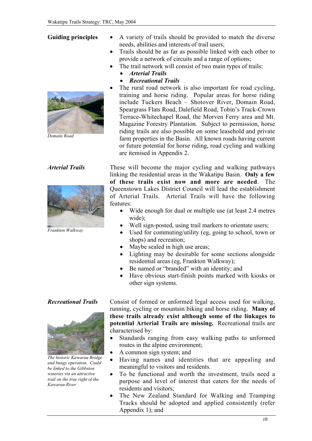#### Guiding principles



*Domain Road*

#### *Arterial Trails*



*Frankton Walkway*

• A variety of trails should be provided to match the diverse needs, abilities and interests of trail users;

- Trails should be as far as possible linked with each other to provide a network of circuits and a range of options;
- The trail network will consist of two main types of trails:
	- *Arterial Trails*
	- *Recreational Trails*
- The rural road network is also important for road cycling, training and horse riding. Popular areas for horse riding include Tuckers Beach – Shotover River, Domain Road, Speargrass Flats Road, Dalefield Road, Tobin's Track-Crown Terrace-Whitechapel Road, the Morven Ferry area and Mt. Magazine Forestry Plantation. Subject to permission, horse riding trails are also possible on some leasehold and private farm properties in the Basin. All known roads having current or future potential for horse riding, road cycling and walking are itemised in Appendix 2.

These will become the major cycling and walking pathways linking the residential areas in the Wakatipu Basin. Only a few of these trails exist now and more are needed. The Queenstown Lakes District Council will lead the establishment of Arterial Trails. Arterial Trails will have the following features:

- Wide enough for dual or multiple use (at least 2.4 metres wide);
- Well sign-posted, using trail markers to orientate users;
- Used for commuting/utility (eg, going to school, town or shops) and recreation;
- Maybe sealed in high use areas;
- Lighting may be desirable for some sections alongside residential areas (eg, Frankton Walkway);
- Be named or "branded" with an identity; and
- Have obvious start-finish points marked with kiosks or other sign systems.

#### *Recreational Trails*



*The historic Kawarau Bridge and bungy operation. Could be linked to the Gibbston wineries via an attractive trail on the true right of the Kawarau River*

Consist of formed or unformed legal access used for walking, running, cycling or mountain biking and horse riding. Many of these trails already exist although some of the linkages to potential Arterial Trails are missing. Recreational trails are characterised by:

- Standards ranging from easy walking paths to unformed routes in the alpine environment;
- A common sign system; and
- Having names and identities that are appealing and meaningful to visitors and residents.
- To be functional and worth the investment, trails need a purpose and level of interest that caters for the needs of residents and visitors;
- The New Zealand Standard for Walking and Tramping Tracks should be adopted and applied consistently (refer Appendix 1); and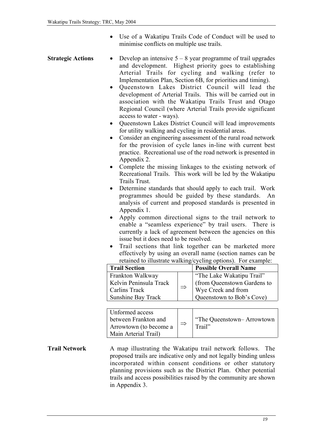• Use of a Wakatipu Trails Code of Conduct will be used to minimise conflicts on multiple use trails.

- **Strategic Actions** Develop an intensive  $5 8$  year programme of trail upgrades and development. Highest priority goes to establishing Arterial Trails for cycling and walking (refer to Implementation Plan, Section 6B, for priorities and timing).
	- Queenstown Lakes District Council will lead the development of Arterial Trails. This will be carried out in association with the Wakatipu Trails Trust and Otago Regional Council (where Arterial Trails provide significant access to water - ways).
	- Queenstown Lakes District Council will lead improvements for utility walking and cycling in residential areas.
	- Consider an engineering assessment of the rural road network for the provision of cycle lanes in-line with current best practice. Recreational use of the road network is presented in Appendix 2.
	- Complete the missing linkages to the existing network of Recreational Trails. This work will be led by the Wakatipu Trails Trust.
	- Determine standards that should apply to each trail. Work programmes should be guided by these standards. An analysis of current and proposed standards is presented in Appendix 1.
	- Apply common directional signs to the trail network to enable a "seamless experience" by trail users. There is currently a lack of agreement between the agencies on this issue but it does need to be resolved.
	- Trail sections that link together can be marketed more effectively by using an overall name (section names can be retained to illustrate walking/cycling options). For example:

| <b>Trail Section</b>                                     |  | <b>Possible Overall Name</b> |  |  |
|----------------------------------------------------------|--|------------------------------|--|--|
| Frankton Walkway                                         |  | "The Lake Wakatipu Trail"    |  |  |
| Kelvin Peninsula Track<br>$\Rightarrow$<br>Carlins Track |  | (from Queenstown Gardens to  |  |  |
|                                                          |  | Wye Creek and from           |  |  |
| <b>Sunshine Bay Track</b>                                |  | Queenstown to Bob's Cove)    |  |  |

| Unformed access<br>between Frankton and<br>Arrowtown (to become a<br>Main Arterial Trail) |  | "The Queenstown-Arrowtown"<br>Trail" |
|-------------------------------------------------------------------------------------------|--|--------------------------------------|
|-------------------------------------------------------------------------------------------|--|--------------------------------------|

**Trail Network** A map illustrating the Wakatipu trail network follows. The proposed trails are indicative only and not legally binding unless incorporated within consent conditions or other statutory planning provisions such as the District Plan. Other potential trails and access possibilities raised by the community are shown in Appendix 3.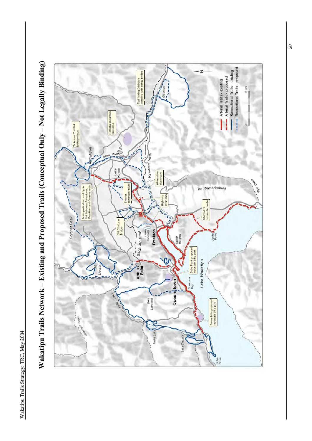

Wakatipu Trails Network – Existing and Proposed Trails (Conceptual Only – Not Legally Binding) Wakatipu Trails Network – Existing and Proposed Trails (Conceptual Only – Not Legally Binding)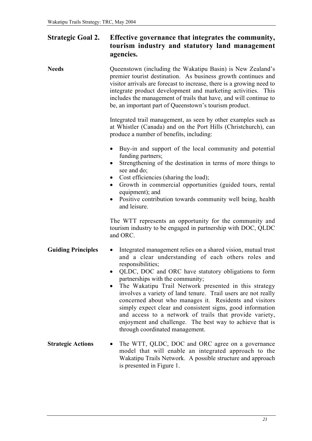#### Strategic Goal 2. Effective governance that integrates the community, tourism industry and statutory land management agencies.

#### Needs Queenstown (including the Wakatipu Basin) is New Zealand's premier tourist destination. As business growth continues and visitor arrivals are forecast to increase, there is a growing need to integrate product development and marketing activities. This includes the management of trails that have, and will continue to be, an important part of Queenstown's tourism product.

Integrated trail management, as seen by other examples such as at Whistler (Canada) and on the Port Hills (Christchurch), can produce a number of benefits, including:

- Buy-in and support of the local community and potential funding partners;
- Strengthening of the destination in terms of more things to see and do;
- Cost efficiencies (sharing the load);
- Growth in commercial opportunities (guided tours, rental equipment); and
- Positive contribution towards community well being, health and leisure.

The WTT represents an opportunity for the community and tourism industry to be engaged in partnership with DOC, QLDC and ORC.

#### Guiding Principles • Integrated management relies on a shared vision, mutual trust and a clear understanding of each others roles and responsibilities;

- QLDC, DOC and ORC have statutory obligations to form partnerships with the community;
- The Wakatipu Trail Network presented in this strategy involves a variety of land tenure. Trail users are not really concerned about who manages it. Residents and visitors simply expect clear and consistent signs, good information and access to a network of trails that provide variety, enjoyment and challenge. The best way to achieve that is through coordinated management.
- Strategic Actions The WTT, QLDC, DOC and ORC agree on a governance model that will enable an integrated approach to the Wakatipu Trails Network. A possible structure and approach is presented in Figure 1.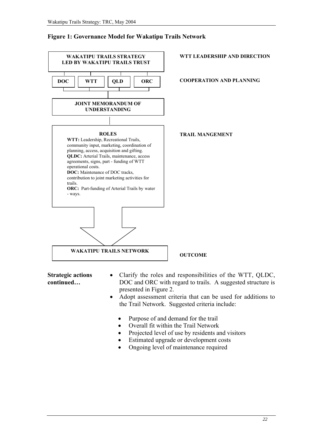#### Figure 1: Governance Model for Wakatipu Trails Network



Strategic actions continued…

- Clarify the roles and responsibilities of the WTT, QLDC, DOC and ORC with regard to trails. A suggested structure is presented in Figure 2.
- Adopt assessment criteria that can be used for additions to the Trail Network. Suggested criteria include:
	- Purpose of and demand for the trail
	- Overall fit within the Trail Network
	- Projected level of use by residents and visitors
	- Estimated upgrade or development costs
	- Ongoing level of maintenance required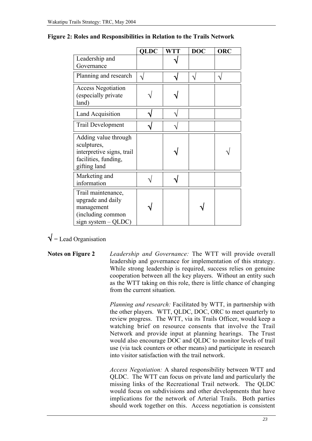|                                                                                                          | <b>QLDC</b> | <b>WTT</b> | <b>DOC</b> | <b>ORC</b> |
|----------------------------------------------------------------------------------------------------------|-------------|------------|------------|------------|
| Leadership and<br>Governance                                                                             |             |            |            |            |
| Planning and research                                                                                    |             |            |            |            |
| <b>Access Negotiation</b><br>(especially private<br>land)                                                |             |            |            |            |
| <b>Land Acquisition</b>                                                                                  |             |            |            |            |
| Trail Development                                                                                        |             |            |            |            |
| Adding value through<br>sculptures,<br>interpretive signs, trail<br>facilities, funding,<br>gifting land |             |            |            |            |
| Marketing and<br>information                                                                             |             |            |            |            |
| Trail maintenance,<br>upgrade and daily<br>management<br>(including common<br>sign system $-QLDC$ )      |             |            |            |            |

#### Figure 2: Roles and Responsibilities in Relation to the Trails Network

#### $\sqrt{\phantom{a}}$  = Lead Organisation

Notes on Figure 2 *Leadership and Governance:* The WTT will provide overall leadership and governance for implementation of this strategy. While strong leadership is required, success relies on genuine cooperation between all the key players. Without an entity such as the WTT taking on this role, there is little chance of changing from the current situation.

> *Planning and research:* Facilitated by WTT, in partnership with the other players. WTT, QLDC, DOC, ORC to meet quarterly to review progress. The WTT, via its Trails Officer, would keep a watching brief on resource consents that involve the Trail Network and provide input at planning hearings. The Trust would also encourage DOC and QLDC to monitor levels of trail use (via tack counters or other means) and participate in research into visitor satisfaction with the trail network.

> *Access Negotiation:* A shared responsibility between WTT and QLDC. The WTT can focus on private land and particularly the missing links of the Recreational Trail network. The QLDC would focus on subdivisions and other developments that have implications for the network of Arterial Trails. Both parties should work together on this. Access negotiation is consistent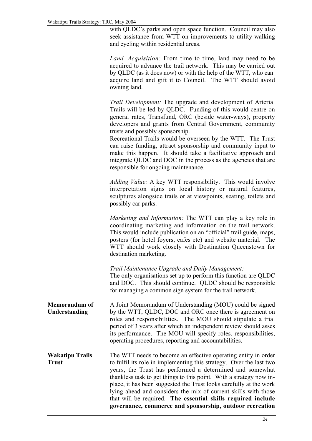with QLDC's parks and open space function. Council may also seek assistance from WTT on improvements to utility walking and cycling within residential areas.

*Land Acquisition:* From time to time, land may need to be acquired to advance the trail network. This may be carried out by QLDC (as it does now) or with the help of the WTT, who can acquire land and gift it to Council. The WTT should avoid owning land.

*Trail Development:* The upgrade and development of Arterial Trails will be led by QLDC. Funding of this would centre on general rates, Transfund, ORC (beside water-ways), property developers and grants from Central Government, community trusts and possibly sponsorship.

Recreational Trails would be overseen by the WTT. The Trust can raise funding, attract sponsorship and community input to make this happen. It should take a facilitative approach and integrate QLDC and DOC in the process as the agencies that are responsible for ongoing maintenance.

*Adding Value:* A key WTT responsibility. This would involve interpretation signs on local history or natural features, sculptures alongside trails or at viewpoints, seating, toilets and possibly car parks.

*Marketing and Information:* The WTT can play a key role in coordinating marketing and information on the trail network. This would include publication on an "official" trail guide, maps, posters (for hotel foyers, cafes etc) and website material. The WTT should work closely with Destination Queenstown for destination marketing.

*Trail Maintenance Upgrade and Daily Management:*

The only organisations set up to perform this function are QLDC and DOC. This should continue. QLDC should be responsible for managing a common sign system for the trail network.

Memorandum of Understanding A Joint Memorandum of Understanding (MOU) could be signed by the WTT, QLDC, DOC and ORC once there is agreement on roles and responsibilities. The MOU should stipulate a trial period of 3 years after which an independent review should asses its performance. The MOU will specify roles, responsibilities, operating procedures, reporting and accountabilities.

Wakatipu Trails Trust The WTT needs to become an effective operating entity in order to fulfil its role in implementing this strategy. Over the last two years, the Trust has performed a determined and somewhat thankless task to get things to this point. With a strategy now inplace, it has been suggested the Trust looks carefully at the work lying ahead and considers the mix of current skills with those that will be required. The essential skills required include governance, commerce and sponsorship, outdoor recreation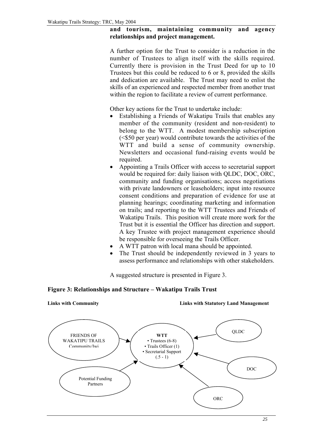#### and tourism, maintaining community and agency relationships and project management.

A further option for the Trust to consider is a reduction in the number of Trustees to align itself with the skills required. Currently there is provision in the Trust Deed for up to 10 Trustees but this could be reduced to 6 or 8, provided the skills and dedication are available. The Trust may need to enlist the skills of an experienced and respected member from another trust within the region to facilitate a review of current performance.

Other key actions for the Trust to undertake include:

- Establishing a Friends of Wakatipu Trails that enables any member of the community (resident and non-resident) to belong to the WTT. A modest membership subscription (<\$50 per year) would contribute towards the activities of the WTT and build a sense of community ownership. Newsletters and occasional fund-raising events would be required.
- Appointing a Trails Officer with access to secretarial support would be required for: daily liaison with QLDC, DOC, ORC, community and funding organisations; access negotiations with private landowners or leaseholders; input into resource consent conditions and preparation of evidence for use at planning hearings; coordinating marketing and information on trails; and reporting to the WTT Trustees and Friends of Wakatipu Trails. This position will create more work for the Trust but it is essential the Officer has direction and support. A key Trustee with project management experience should be responsible for overseeing the Trails Officer.
- A WTT patron with local mana should be appointed.
- The Trust should be independently reviewed in 3 years to assess performance and relationships with other stakeholders.

A suggested structure is presented in Figure 3.

#### Figure 3: Relationships and Structure – Wakatipu Trails Trust

Links with Community Links with Statutory Land Management

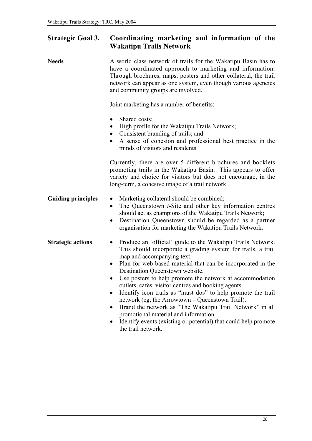#### Strategic Goal 3. Coordinating marketing and information of the Wakatipu Trails Network

| <b>Needs</b>              | A world class network of trails for the Wakatipu Basin has to<br>have a coordinated approach to marketing and information.<br>Through brochures, maps, posters and other collateral, the trail<br>network can appear as one system, even though various agencies<br>and community groups are involved.                                                                                                                                                                                                                                                                                                                                                                                                                         |
|---------------------------|--------------------------------------------------------------------------------------------------------------------------------------------------------------------------------------------------------------------------------------------------------------------------------------------------------------------------------------------------------------------------------------------------------------------------------------------------------------------------------------------------------------------------------------------------------------------------------------------------------------------------------------------------------------------------------------------------------------------------------|
|                           | Joint marketing has a number of benefits:                                                                                                                                                                                                                                                                                                                                                                                                                                                                                                                                                                                                                                                                                      |
|                           | Shared costs;<br>High profile for the Wakatipu Trails Network;<br>$\bullet$<br>• Consistent branding of trails; and<br>A sense of cohesion and professional best practice in the<br>minds of visitors and residents.                                                                                                                                                                                                                                                                                                                                                                                                                                                                                                           |
|                           | Currently, there are over 5 different brochures and booklets<br>promoting trails in the Wakatipu Basin. This appears to offer<br>variety and choice for visitors but does not encourage, in the<br>long-term, a cohesive image of a trail network.                                                                                                                                                                                                                                                                                                                                                                                                                                                                             |
| <b>Guiding principles</b> | Marketing collateral should be combined;<br>The Queenstown <i>i</i> -Site and other key information centres<br>$\bullet$<br>should act as champions of the Wakatipu Trails Network;<br>Destination Queenstown should be regarded as a partner<br>$\bullet$<br>organisation for marketing the Wakatipu Trails Network.                                                                                                                                                                                                                                                                                                                                                                                                          |
| <b>Strategic actions</b>  | Produce an 'official' guide to the Wakatipu Trails Network.<br>$\bullet$<br>This should incorporate a grading system for trails, a trail<br>map and accompanying text.<br>Plan for web-based material that can be incorporated in the<br>$\bullet$<br>Destination Queenstown website.<br>Use posters to help promote the network at accommodation<br>outlets, cafes, visitor centres and booking agents.<br>Identify icon trails as "must dos" to help promote the trail<br>network (eg, the Arrowtown - Queenstown Trail).<br>Brand the network as "The Wakatipu Trail Network" in all<br>promotional material and information.<br>Identify events (existing or potential) that could help promote<br>٠<br>the trail network. |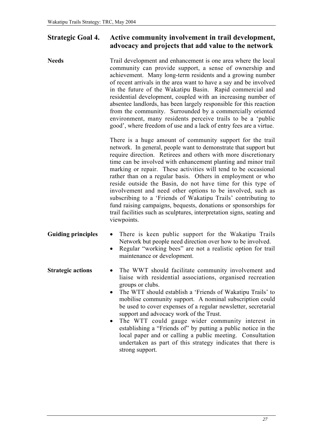#### Strategic Goal 4. Active community involvement in trail development, advocacy and projects that add value to the network

Needs Trail development and enhancement is one area where the local community can provide support, a sense of ownership and achievement. Many long-term residents and a growing number of recent arrivals in the area want to have a say and be involved in the future of the Wakatipu Basin. Rapid commercial and residential development, coupled with an increasing number of absentee landlords, has been largely responsible for this reaction from the community. Surrounded by a commercially oriented environment, many residents perceive trails to be a 'public good', where freedom of use and a lack of entry fees are a virtue.

> There is a huge amount of community support for the trail network. In general, people want to demonstrate that support but require direction. Retirees and others with more discretionary time can be involved with enhancement planting and minor trail marking or repair. These activities will tend to be occasional rather than on a regular basis. Others in employment or who reside outside the Basin, do not have time for this type of involvement and need other options to be involved, such as subscribing to a 'Friends of Wakatipu Trails' contributing to fund raising campaigns, bequests, donations or sponsorships for trail facilities such as sculptures, interpretation signs, seating and viewpoints.

- Guiding principles There is keen public support for the Wakatipu Trails Network but people need direction over how to be involved.
	- Regular "working bees" are not a realistic option for trail maintenance or development.
- Strategic actions The WWT should facilitate community involvement and liaise with residential associations, organised recreation groups or clubs.
	- The WTT should establish a 'Friends of Wakatipu Trails' to mobilise community support. A nominal subscription could be used to cover expenses of a regular newsletter, secretarial support and advocacy work of the Trust.
	- The WTT could gauge wider community interest in establishing a "Friends of" by putting a public notice in the local paper and or calling a public meeting. Consultation undertaken as part of this strategy indicates that there is strong support.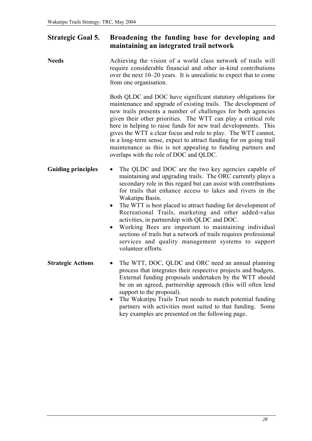#### Strategic Goal 5. Broadening the funding base for developing and maintaining an integrated trail network

| Achieving the vision of a world class network of trails will<br>require considerable financial and other in-kind contributions<br>over the next 10–20 years. It is unrealistic to expect that to come<br>from one organisation.                                                                                                                                                                                                                                                                                                                                                                                                                                                   |
|-----------------------------------------------------------------------------------------------------------------------------------------------------------------------------------------------------------------------------------------------------------------------------------------------------------------------------------------------------------------------------------------------------------------------------------------------------------------------------------------------------------------------------------------------------------------------------------------------------------------------------------------------------------------------------------|
| Both QLDC and DOC have significant statutory obligations for<br>maintenance and upgrade of existing trails. The development of<br>new trails presents a number of challenges for both agencies<br>given their other priorities. The WTT can play a critical role<br>here in helping to raise funds for new trail developments. This<br>gives the WTT a clear focus and role to play. The WTT cannot,<br>in a long-term sense, expect to attract funding for on going trail<br>maintenance as this is not appealing to funding partners and<br>overlaps with the role of DOC and QLDC.                                                                                             |
| The QLDC and DOC are the two key agencies capable of<br>maintaining and upgrading trails. The ORC currently plays a<br>secondary role in this regard but can assist with contributions<br>for trails that enhance access to lakes and rivers in the<br>Wakatipu Basin.<br>The WTT is best placed to attract funding for development of<br>$\bullet$<br>Recreational Trails, marketing and other added-value<br>activities, in partnership with QLDC and DOC.<br>Working Bees are important to maintaining individual<br>$\bullet$<br>sections of trails but a network of trails requires professional<br>services and quality management systems to support<br>volunteer efforts. |
| The WTT, DOC, QLDC and ORC need an annual planning<br>process that integrates their respective projects and budgets.<br>External funding proposals undertaken by the WTT should<br>be on an agreed, partnership approach (this will often lend<br>support to the proposal).<br>The Wakatipu Trails Trust needs to match potential funding<br>$\bullet$<br>partners with activities most suited to that funding.<br>Some                                                                                                                                                                                                                                                           |
|                                                                                                                                                                                                                                                                                                                                                                                                                                                                                                                                                                                                                                                                                   |

key examples are presented on the following page.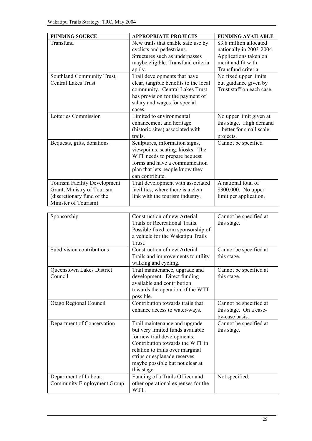| <b>FUNDING SOURCE</b>                                      | <b>APPROPRIATE PROJECTS</b>                                           | <b>FUNDING AVAILABLE</b>  |
|------------------------------------------------------------|-----------------------------------------------------------------------|---------------------------|
| Transfund                                                  | New trails that enable safe use by                                    | \$3.8 million allocated   |
|                                                            | cyclists and pedestrians.                                             | nationally in 2003-2004.  |
|                                                            | Structures such as underpasses                                        | Applications taken on     |
|                                                            | maybe eligible. Transfund criteria                                    | merit and fit with        |
|                                                            | apply.                                                                | Transfund criteria.       |
| Southland Community Trust,                                 | Trail developments that have                                          | No fixed upper limits     |
| <b>Central Lakes Trust</b>                                 | clear, tangible benefits to the local                                 | but guidance given by     |
|                                                            | community. Central Lakes Trust                                        | Trust staff on each case. |
|                                                            | has provision for the payment of                                      |                           |
|                                                            | salary and wages for special                                          |                           |
|                                                            | cases.                                                                |                           |
| Lotteries Commission                                       | Limited to environmental                                              | No upper limit given at   |
|                                                            | enhancement and heritage                                              | this stage. High demand   |
|                                                            | (historic sites) associated with                                      | - better for small scale  |
|                                                            | trails.                                                               | projects.                 |
| Bequests, gifts, donations                                 | Sculptures, information signs,                                        | Cannot be specified       |
|                                                            | viewpoints, seating, kiosks. The                                      |                           |
|                                                            | WTT needs to prepare bequest                                          |                           |
|                                                            | forms and have a communication                                        |                           |
|                                                            | plan that lets people know they                                       |                           |
|                                                            | can contribute.                                                       |                           |
| Tourism Facility Development                               | Trail development with associated                                     | A national total of       |
| Grant, Ministry of Tourism                                 | facilities, where there is a clear                                    | \$300,000. No upper       |
| (discretionary fund of the                                 | link with the tourism industry.                                       | limit per application.    |
| Minister of Tourism)                                       |                                                                       |                           |
|                                                            |                                                                       |                           |
|                                                            |                                                                       |                           |
| Sponsorship                                                | Construction of new Arterial                                          | Cannot be specified at    |
|                                                            | Trails or Recreational Trails.                                        | this stage.               |
|                                                            | Possible fixed term sponsorship of                                    |                           |
|                                                            | a vehicle for the Wakatipu Trails                                     |                           |
|                                                            | Trust.                                                                |                           |
| Subdivision contributions                                  | Construction of new Arterial                                          | Cannot be specified at    |
|                                                            | Trails and improvements to utility                                    | this stage.               |
|                                                            | walking and cycling.                                                  |                           |
| Queenstown Lakes District                                  | Trail maintenance, upgrade and                                        | Cannot be specified at    |
| Council                                                    | development. Direct funding                                           | this stage.               |
|                                                            | available and contribution                                            |                           |
|                                                            | towards the operation of the WTT                                      |                           |
|                                                            | possible.                                                             |                           |
| Otago Regional Council                                     | Contribution towards trails that                                      | Cannot be specified at    |
|                                                            | enhance access to water-ways.                                         | this stage. On a case-    |
|                                                            |                                                                       | by-case basis.            |
| Department of Conservation                                 | Trail maintenance and upgrade                                         | Cannot be specified at    |
|                                                            | but very limited funds available                                      | this stage.               |
|                                                            | for new trail developments.                                           |                           |
|                                                            | Contribution towards the WTT in                                       |                           |
|                                                            | relation to trails over marginal                                      |                           |
|                                                            | strips or esplanade reserves                                          |                           |
|                                                            | maybe possible but not clear at                                       |                           |
|                                                            | this stage.                                                           |                           |
| Department of Labour,<br><b>Community Employment Group</b> | Funding of a Trails Officer and<br>other operational expenses for the | Not specified.            |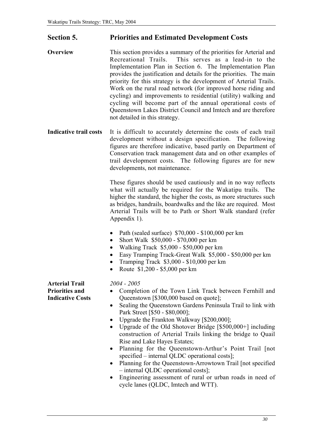#### Section 5. Priorities and Estimated Development Costs

- Overview This section provides a summary of the priorities for Arterial and Recreational Trails. This serves as a lead-in to the Implementation Plan in Section 6. The Implementation Plan provides the justification and details for the priorities. The main priority for this strategy is the development of Arterial Trails. Work on the rural road network (for improved horse riding and cycling) and improvements to residential (utility) walking and cycling will become part of the annual operational costs of Queenstown Lakes District Council and Imtech and are therefore not detailed in this strategy.
- Indicative trail costs It is difficult to accurately determine the costs of each trail development without a design specification. The following figures are therefore indicative, based partly on Department of Conservation track management data and on other examples of trail development costs. The following figures are for new developments, not maintenance.

These figures should be used cautiously and in no way reflects what will actually be required for the Wakatipu trails. The higher the standard, the higher the costs, as more structures such as bridges, handrails, boardwalks and the like are required. Most Arterial Trails will be to Path or Short Walk standard (refer Appendix 1).

- Path (sealed surface) \$70,000 \$100,000 per km
- Short Walk \$50,000 \$70,000 per km
- Walking Track \$5,000 \$50,000 per km
- Easy Tramping Track-Great Walk \$5,000 \$50,000 per km
- Tramping Track \$3,000 \$10,000 per km
- Route \$1,200 \$5,000 per km

Arterial Trail Priorities and Indicative Costs

- *2004 2005*
- Completion of the Town Link Track between Fernhill and Queenstown [\$300,000 based on quote];
- Sealing the Queenstown Gardens Peninsula Trail to link with Park Street [\$50 - \$80,000];
- Upgrade the Frankton Walkway [\$200,000];
- Upgrade of the Old Shotover Bridge [\$500,000+] including construction of Arterial Trails linking the bridge to Quail Rise and Lake Hayes Estates;
- Planning for the Queenstown-Arthur's Point Trail [not specified – internal QLDC operational costs];
- Planning for the Queenstown-Arrowtown Trail [not specified] – internal QLDC operational costs];
- Engineering assessment of rural or urban roads in need of cycle lanes (QLDC, Imtech and WTT).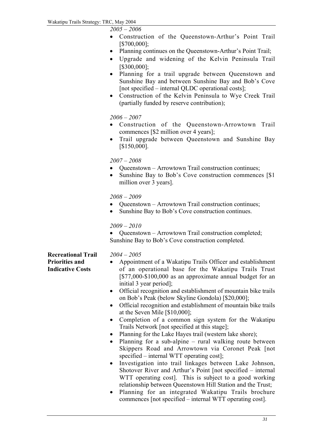*2005 – 2006*

- Construction of the Queenstown-Arthur's Point Trail [\$700,000];
- Planning continues on the Oueenstown-Arthur's Point Trail:
- Upgrade and widening of the Kelvin Peninsula Trail [\$300,000];
- Planning for a trail upgrade between Queenstown and Sunshine Bay and between Sunshine Bay and Bob's Cove [not specified – internal QLDC operational costs];
- Construction of the Kelvin Peninsula to Wye Creek Trail (partially funded by reserve contribution);

#### *2006 – 2007*

- Construction of the Queenstown-Arrowtown Trail commences [\$2 million over 4 years];
- Trail upgrade between Queenstown and Sunshine Bay [\$150,000].

#### *2007 – 2008*

- Queenstown Arrowtown Trail construction continues;
- Sunshine Bay to Bob's Cove construction commences [\$1] million over 3 years].

#### *2008 – 2009*

- Queenstown Arrowtown Trail construction continues;
- Sunshine Bay to Bob's Cove construction continues.

#### *2009 – 2010*

• Oueenstown – Arrowtown Trail construction completed; Sunshine Bay to Bob's Cove construction completed.

Recreational Trail Priorities and Indicative Costs

#### *2004 – 2005*

- Appointment of a Wakatipu Trails Officer and establishment of an operational base for the Wakatipu Trails Trust [\$77,000-\$100,000 as an approximate annual budget for an initial 3 year period];
- Official recognition and establishment of mountain bike trails on Bob's Peak (below Skyline Gondola) [\$20,000];
- Official recognition and establishment of mountain bike trails at the Seven Mile [\$10,000];
- Completion of a common sign system for the Wakatipu Trails Network [not specified at this stage];
- Planning for the Lake Hayes trail (western lake shore):
- Planning for a sub-alpine rural walking route between Skippers Road and Arrowtown via Coronet Peak [not specified – internal WTT operating cost];
- Investigation into trail linkages between Lake Johnson, Shotover River and Arthur's Point [not specified – internal WTT operating cost]. This is subject to a good working relationship between Queenstown Hill Station and the Trust;
- Planning for an integrated Wakatipu Trails brochure commences [not specified – internal WTT operating cost].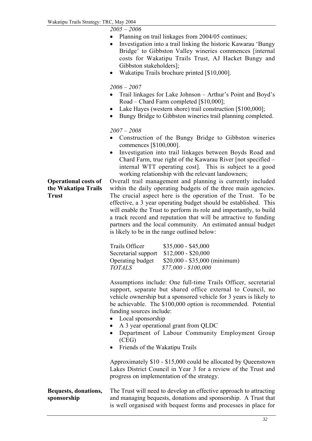*2005 – 2006*

- Planning on trail linkages from 2004/05 continues;
- Investigation into a trail linking the historic Kawarau 'Bungy Bridge' to Gibbston Valley wineries commences [internal costs for Wakatipu Trails Trust, AJ Hacket Bungy and Gibbston stakeholders];
- Wakatipu Trails brochure printed [\$10,000].

*2006 – 2007*

- Trail linkages for Lake Johnson Arthur's Point and Boyd's Road – Chard Farm completed [\$10,000];
- Lake Hayes (western shore) trail construction [\$100,000];
- Bungy Bridge to Gibbston wineries trail planning completed.

#### *2007 – 2008*

- Construction of the Bungy Bridge to Gibbston wineries commences [\$100,000].
- Investigation into trail linkages between Boyds Road and Chard Farm, true right of the Kawarau River [not specified – internal WTT operating cost]. This is subject to a good working relationship with the relevant landowners;

Operational costs of the Wakatipu Trails Trust

Overall trail management and planning is currently included within the daily operating budgets of the three main agencies. The crucial aspect here is the operation of the Trust. To be effective, a 3 year operating budget should be established. This will enable the Trust to perform its role and importantly, to build a track record and reputation that will be attractive to funding partners and the local community. An estimated annual budget is likely to be in the range outlined below:

| Trails Officer      | $$35,000 - $45,000$           |
|---------------------|-------------------------------|
| Secretarial support | $$12,000 - $20,000$           |
| Operating budget    | $$20,000 - $35,000$ (minimum) |
| <b>TOTALS</b>       | $$77,000 - $100,000$          |

Assumptions include: One full-time Trails Officer, secretarial support, separate but shared office external to Council, no vehicle ownership but a sponsored vehicle for 3 years is likely to be achievable. The \$100,000 option is recommended. Potential funding sources include:

- Local sponsorship
- A 3 year operational grant from QLDC
- Department of Labour Community Employment Group (CEG)
- Friends of the Wakatipu Trails

Approximately \$10 - \$15,000 could be allocated by Queenstown Lakes District Council in Year 3 for a review of the Trust and progress on implementation of the strategy.

receiving, acknowledging and reporting assistance, will be more

Bequests, donations, sponsorship The Trust will need to develop an effective approach to attracting and managing bequests, donations and sponsorship. A Trust that is well organised with bequest forms and processes in place for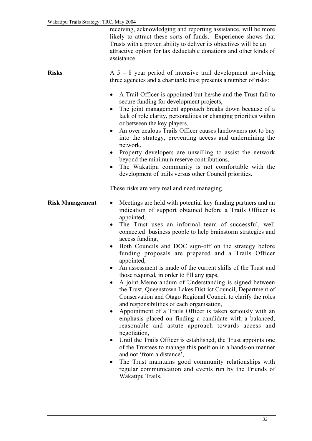receiving, acknowledging and reporting assistance, will be more likely to attract these sorts of funds. Experience shows that Trusts with a proven ability to deliver its objectives will be an attractive option for tax deductable donations and other kinds of assistance.

**Risks**  $A \times 5 - 8$  year period of intensive trail development involving three agencies and a charitable trust presents a number of risks:

- A Trail Officer is appointed but he/she and the Trust fail to secure funding for development projects,
- The joint management approach breaks down because of a lack of role clarity, personalities or changing priorities within or between the key players,
- An over zealous Trails Officer causes landowners not to buy into the strategy, preventing access and undermining the network,
- Property developers are unwilling to assist the network beyond the minimum reserve contributions,
- The Wakatipu community is not comfortable with the development of trails versus other Council priorities.

These risks are very real and need managing.

- **Risk Management** Meetings are held with potential key funding partners and an indication of support obtained before a Trails Officer is appointed,
	- The Trust uses an informal team of successful, well connected business people to help brainstorm strategies and access funding,
	- Both Councils and DOC sign-off on the strategy before funding proposals are prepared and a Trails Officer appointed,
	- An assessment is made of the current skills of the Trust and those required, in order to fill any gaps,
	- A joint Memorandum of Understanding is signed between the Trust, Queenstown Lakes District Council, Department of Conservation and Otago Regional Council to clarify the roles and responsibilities of each organisation,
	- Appointment of a Trails Officer is taken seriously with an emphasis placed on finding a candidate with a balanced, reasonable and astute approach towards access and negotiation,
	- Until the Trails Officer is established, the Trust appoints one of the Trustees to manage this position in a hands-on manner and not 'from a distance',
	- The Trust maintains good community relationships with regular communication and events run by the Friends of Wakatipu Trails.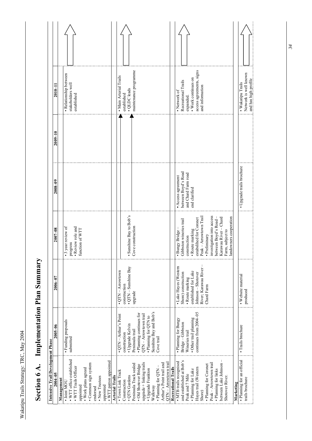| Š            |  |
|--------------|--|
|              |  |
| くらし          |  |
| $-16.0$<br>l |  |
| alls:        |  |
|              |  |

| Č                                               |
|-------------------------------------------------|
| $\ddot{\phantom{a}}$<br>$\frac{1}{2}$<br>í<br>ĵ |
| i<br>$\overline{a}$<br>t                        |
|                                                 |
|                                                 |
| ζ                                               |

| Intensive Trail Development Phase                                                                                                                                                                |                                                   |                                              |                                                                                                                           |                                           |             |                                                                    |  |
|--------------------------------------------------------------------------------------------------------------------------------------------------------------------------------------------------|---------------------------------------------------|----------------------------------------------|---------------------------------------------------------------------------------------------------------------------------|-------------------------------------------|-------------|--------------------------------------------------------------------|--|
| $2004 - 05$                                                                                                                                                                                      | $2005 - 06$                                       | $2006 - 07$                                  | $2007 - 08$                                                                                                               | $2008 - 09$                               | $2009 - 10$ | $2010 - 11$                                                        |  |
| Management                                                                                                                                                                                       |                                                   |                                              |                                                                                                                           |                                           |             |                                                                    |  |
| • WTT office established<br>. WTT patron appointed<br>• Common sign system<br>. WTT Trails Officer<br>• Work plans agreed<br>• New Trustees<br>· Joint MOU<br>appointed<br>appointed<br>endorsed | · Funding proposals<br>submitted                  |                                              | $\bullet$ Review role and function of WTT<br>• 3 year review of<br>progress                                               |                                           |             | · Relationship between<br>stakeholders well<br>established         |  |
| <b>Arterial Trails</b>                                                                                                                                                                           |                                                   |                                              |                                                                                                                           |                                           |             |                                                                    |  |
| • Town Link Track                                                                                                                                                                                | $\bullet$ QTN $-$ Arthur's Point                  | $\bullet$ QTN – Arrowtown                    |                                                                                                                           |                                           |             | • Main Arterial Trails                                             |  |
| • QTN Gardens<br>Construction                                                                                                                                                                    | · Upgrade Kelvin<br>construction                  | $\bullet$ QTN – Sunshine Bay<br>construction | • Sunshine Bay to Bob's                                                                                                   |                                           |             | · QLDC leads<br>established                                        |  |
| Peninsula Track sealed                                                                                                                                                                           | Peninsula trail                                   | upgrade                                      | Cove construction                                                                                                         |                                           |             | maintenance programme                                              |  |
| $upgrade + linking$ trails<br>· Old Shotover Bridge<br>• Upgrade Frankton                                                                                                                        | · Planning continues for<br>QTN - Arrowtown trail |                                              |                                                                                                                           |                                           |             |                                                                    |  |
| Walkway                                                                                                                                                                                          | • Planning for $QTN$ to<br>Sunshine Bay and Bob's |                                              |                                                                                                                           |                                           |             |                                                                    |  |
| Arthur's Point trail and<br>- Planning for QTN-                                                                                                                                                  | Cove trail                                        |                                              |                                                                                                                           |                                           |             |                                                                    |  |
| QTN – Arrowtown trail                                                                                                                                                                            |                                                   |                                              |                                                                                                                           |                                           |             |                                                                    |  |
| <b>Recreational Trails</b>                                                                                                                                                                       |                                                   |                                              |                                                                                                                           |                                           |             |                                                                    |  |
| and established at Bob's<br>· MTB trails recognised                                                                                                                                              | · Planning for Bungy<br>Bridge-Gibbston           | · Lake Hayes (Western<br>Shore) construction | Gibbston wineries trail<br>· Bungy Bridge                                                                                 | between Boyd's Road<br>· Access agreement |             | Recreational Trails<br>• Network of                                |  |
| · Planning for Lake<br>Peak and 7 Mile                                                                                                                                                           | • Other trail planning<br>Wineries trail          | established for Lake<br>· Route marking      | · Route marking<br>construction                                                                                           | and Chard Farm road<br>end clarified      |             | • Work continues on<br>expanded.                                   |  |
| Hayes trail (Western                                                                                                                                                                             | continues from 2004-05                            | Johnson - Shotover                           | estabslihed for Coronet<br>Peak – Arrowtown Trail                                                                         |                                           |             | access agreements, signs                                           |  |
| Shore)                                                                                                                                                                                           |                                                   | River; Karawau River-                        |                                                                                                                           |                                           |             | and information                                                    |  |
| Peak - Arrowtown trail<br>· Planning for Coronet                                                                                                                                                 |                                                   | Chard Farm                                   | · Preliminary                                                                                                             |                                           |             |                                                                    |  |
| · Planning for links                                                                                                                                                                             |                                                   |                                              |                                                                                                                           |                                           |             |                                                                    |  |
| between Lake Johnson -<br>Shotover River.                                                                                                                                                        |                                                   |                                              | investigation into access<br>between Boyd's Road –<br>Karawau River – Chard<br>Farm, subject to<br>landowners cooperation |                                           |             |                                                                    |  |
| Marketing                                                                                                                                                                                        |                                                   |                                              |                                                                                                                           |                                           |             |                                                                    |  |
| · Planning for an official<br>trails brochure                                                                                                                                                    | · Trails brochure                                 | · Website material<br>produced               |                                                                                                                           | · Upgrade trails brochure                 |             | Network is well known<br>and has high profile<br>• Wakatipu Trails |  |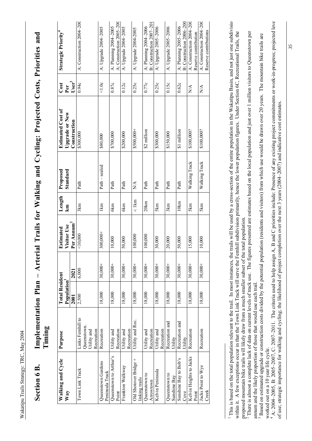| Ç<br>$\mathbf{I}$<br>Ĺ<br>֠֩<br>D<br>しょうし |        |
|-------------------------------------------|--------|
| " Implementation Plan - Arteria.          | Timing |
| <b>Section 6 B.</b>                       |        |

| Walking and Cycle       | Purpose          | <b>Total Resident</b> |           | Estimated                             | Length            | Proposed               | <b>Estimated Cost of</b>              | Cost                                  | <b>Strategic Priority</b> <sup>4</sup> |
|-------------------------|------------------|-----------------------|-----------|---------------------------------------|-------------------|------------------------|---------------------------------------|---------------------------------------|----------------------------------------|
| Way                     |                  | Population<br>2001    | 2021      | Per Annum <sup>2</sup><br>Visitor Use | km                | Standard               | <b>Upgrade or New</b><br>Construction | Per <sup>3</sup><br>User <sup>3</sup> |                                        |
| Town Link Track         | Links Femhill to | 2,500                 | 6,000     | < 10,000                              | 3km               | Path                   | \$300,000                             | 0.94c                                 | A: Construction 2004-200               |
|                         | Queenstown       |                       |           |                                       |                   |                        |                                       |                                       |                                        |
|                         |                  |                       |           |                                       |                   |                        |                                       |                                       |                                        |
|                         | Utility and      |                       |           |                                       |                   |                        |                                       |                                       |                                        |
|                         | Recreation       |                       |           |                                       |                   |                        |                                       |                                       |                                        |
| Queenstown Gardens      | Recreation       | 18,000                | $30,000+$ | $300,000 +$                           | 1 km              | Path - sealed          | \$80,000                              | 1.0c                                  | A: Upgrade 2004-2005                   |
| Peninsula Track         |                  |                       |           |                                       |                   |                        |                                       |                                       |                                        |
| Queenstown to Arthur's  | Utility and      | 18,000                | $30,000+$ | 10,000                                | 6km               | Path                   | \$700,000                             | 0.87c                                 | A: Planning 2004-2005                  |
| Point                   | Recreation       |                       |           |                                       |                   |                        |                                       |                                       | A: Construction 2005-200               |
| Frankton Walkway        | Utility and      | 18,000                | $30,000+$ | 50,000                                | 6km               | Path                   | \$200,000                             | 0.12c                                 | A: Upgrade 2004-2005                   |
|                         | Recreation       |                       |           |                                       |                   |                        |                                       |                                       |                                        |
| Old Shotover Bridge +   | Utility and Rec. | 18,000                | $30,000+$ | 100,000                               | $\leq$ 1 $\rm km$ | $\mathbb{N}\mathbb{A}$ | $$500,000+$                           | 0.25c                                 | A: Upgrade 2004-2005                   |
| linking trails          |                  |                       |           |                                       |                   |                        |                                       |                                       |                                        |
| Queenstown to           | Utility and      | 18,000                | $30,000+$ | 100,000                               | $20$ k $m$        | Path                   | \$2 million                           | 0.77c                                 | A: Planning 2004-2006                  |
| Arrowtown               | Recreation       |                       |           |                                       |                   |                        |                                       |                                       | B: Construction 2007-201               |
| Kelvin Peninsula        | Utility and      | 18,000                | $30,000+$ | 30,000                                | 5km               | Path                   | \$300,000                             | 0.25c                                 | A: Upgrade 2005-2006                   |
|                         | Recreation       |                       |           |                                       |                   |                        |                                       |                                       |                                        |
| Queenstown to           | Recreation and   | 18,000                | $30,000+$ | 20,000                                | 3km               | Path                   | \$150,000                             | 0.15c                                 | A: Upgrade 2005-2006                   |
| Sunshine Bay            | Utility          |                       |           |                                       |                   |                        |                                       |                                       |                                        |
| Sunshine Bay to Bob's   | Recreation and   | 18,000                | $30,000+$ | 50,000                                | 10km              | Path                   | \$1 million                           | 0.62c                                 | A: Planning 2005-2006                  |
| Uove                    | Utility          |                       |           |                                       |                   |                        |                                       |                                       | B: Construction 2006-200               |
| Kelvin Heights to Jacks | Recreation       | 18,000                | $30,000+$ | 15,000                                | 5km               | Walking Track          | \$100,000?                            | $\frac{\mathbf{A}}{\mathbf{A}}$       | A: Construction 2004-200               |
| Point                   |                  |                       |           |                                       |                   |                        |                                       |                                       | Reserve contribution                   |
| Jacks Point to Wye      | Recreation       | 18,000                | $30,000+$ | 10,000                                | 5km               | Walking Track          | \$100,000?                            | $\frac{\mathbf{A}}{\mathbf{A}}$       | A: Construction 2004-200               |
| Creek                   |                  |                       |           |                                       |                   |                        |                                       |                                       | Reserve contributions                  |

This is based on the total population relevant to the trail. In most instances, the trails will be used by a cross-section of the entire population in the Wakatipu Basin, and not just one subdivision This is based on the total population relevant to the trail. In most instances, the trails will be used by a cross-section of the entire population in the Wakatipu Basin, and not just one subdivisio within it. A few exceptions occur in that the Town Link Track will serve the Fernhill subdivision primarily, hence the lower population figures. Under Section 6C, Recreational Trails, the within it. A few exceptions occur in that the Town Link Track will serve the Fernhill subdivision primarily, hence the lower population figures. Under Section 6C, Recreational Trails, the proposed mountain bike trails will likely draw from a much smaller subset of the total population.

proposed mountain bike trails will likely draw from a much smaller subset of the total population.<br><sup>2</sup> There is almost a complete lack of data on current levels of track use. The figures presented are estimates based on th There is almost a complete lack of data on current levels of track use. The figures presented are estimates based on the local population and just over 1 million visitors to Queenstown per annum and the likely proportion of those that would use each trail.

amum and the likely proportion of those that would use each trail.<br><sup>3</sup> Based on estimated upgrade or construction costs divided by the potential population (residents and visitors) from which use would be drawn over 20 yea Based on estimated upgrade or construction costs divided by the potential population (residents and visitors) from which use would be drawn over 20 years. The mountain bike trails are worked out on a 10 year life cycle. worked out on a 10 year life cycle.

A: 2004–2005, B: 2005–2007, C: 2007–2011. The criteria used to help assign A, B and C priorities include: Presence of any existing project commitments or work-in-progress; projected level 4 A: 2004-2005, B: 2005-2007, C: 2007-2011. The criteria used to help assign A, B and C priorities include: Presence of any existing project commitments or work-in-progress; projected leve of use; strategic importance for walking and cycling; the likelihood of project completion over the next 3 years (2004-2007) and indicative cost estimates. of use; strategic importance for walking and cycling; the likelihood of project completion over the next 3 years (2004–2007) and indicative cost estimates.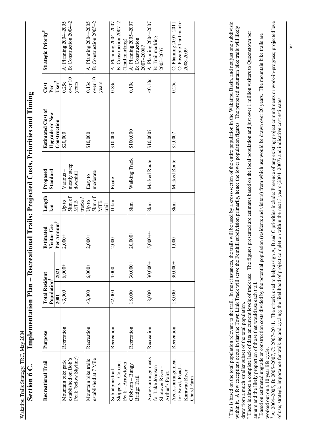Implementation Plan - Recreational Trails: Projected Costs, Priorities and Timing Section 6 C. Implementation Plan – Recreational Trails: Projected Costs, Priorities and Timing Section 6 C.

| Recreational Trail                     | Purpose    | <b>Total Resident</b>   |           | <b>Estimated</b>       | Length                | Proposed      | <b>Estimated Cost of</b> | Cost     | <b>Strategic Priority</b>                           |
|----------------------------------------|------------|-------------------------|-----------|------------------------|-----------------------|---------------|--------------------------|----------|-----------------------------------------------------|
|                                        |            | Population <sup>3</sup> |           | Visitor Use            | km                    | Standard      | <b>Upgrade or New</b>    | Per      |                                                     |
|                                        |            | 2001                    | 2021      | Per Annum <sup>6</sup> |                       |               | Construction             | $User^7$ |                                                     |
| Mountain bike park                     | Recreation | $<$ 3,000               | $6,000+$  | $2,000+$               | Up to                 | $V$ arious –  | \$20,000                 | 0.25c    | A: Planning 2004-2005                               |
| established on Bob's                   |            |                         |           |                        | 5km of                | mostly steep  |                          | over 10  | B: Construction 2004-2                              |
| Peak (below Skyline)                   |            |                         |           |                        | tracks?<br><b>MTB</b> | downhill      |                          | years    |                                                     |
| Mountain bike trails                   | Recreation | $3,000$                 | $6,000+$  | $2,000+$               | Up to                 | Easy to       | \$10,000                 | 0.13c    | A: Planning 2004-2005                               |
| established at 7 Mile                  |            |                         |           |                        | 5km of                | moderate      |                          | over 10  | B: Construction 2005-2                              |
|                                        |            |                         |           |                        | <b>MTB</b><br>trail   |               |                          | years    |                                                     |
| Sub-alpine trail                       | Recreation | $2,000$                 | 4,000     | 2,000                  | 10km                  | Route         | \$10,000                 | 0.83c    | A: Planning $2004 - 2007$                           |
| Skippers - Coronet                     |            |                         |           |                        |                       |               |                          |          | B: Construction 2007-2                              |
| Peak - Arrowtown                       |            |                         |           |                        |                       |               |                          |          | (Trail marking)                                     |
| Gibbston - Bungy                       | Recreation | 18,000                  | $30,000+$ | $20,000+$              | 8km                   | Walking Track | \$100,000                | 0.10c    | A: Planning $2005 - 2007$                           |
| Bridge Trail                           |            |                         |           |                        |                       |               |                          |          | <b>B</b> : Construction                             |
|                                        |            |                         |           |                        |                       |               |                          |          | 2007-2008?                                          |
| Access arrangements                    | Recreation | 18,000                  | $30,000+$ | $5,000 +/-$            | 8km                   | Marked Route  | \$10,000?                | 40.10c   | A: Planning 2004-2007                               |
| for Lake Johnson -                     |            |                         |           |                        |                       |               |                          |          | B: Trail marking                                    |
| Shotover River-                        |            |                         |           |                        |                       |               |                          |          | 2005-2007                                           |
| Arthur's Point                         |            |                         |           |                        |                       |               |                          |          |                                                     |
| Access arrangement<br>for Boyds Road - | Recreation | 18,000                  | $30,000+$ | 1,000                  | 8km                   | Marked Route  | \$5,000?                 | 0.25c    | C: Possible Trail markir<br>$C:$ Planning 2007–2011 |
| Karawau River -                        |            |                         |           |                        |                       |               |                          |          | 2008-2009                                           |
| Chard Farm                             |            |                         |           |                        |                       |               |                          |          |                                                     |

This is based on the total population relevant to the trail. In most instances, the trails will be used by a cross-section of the entire population in the Wakatipu Basin, and not just one subdivision <sup>5</sup> This is based on the total population relevant to the trail. In most instances, the trails will be used by a cross-section of the entire population in the Wakatipu Basin, and not just one subdivisio within it. A few exceptions occur in that the Town Link Track will serve the Fernhill subdivision primarily, hence the lower population figures. The proposed mountain bike trails will likely within it. A few exceptions occur in that the Town Link Track will serve the Fernhill subdivision primarily, hence the lower population figures. The proposed mountain bike trails will likely draw from a much smaller subset of the total population.<br><sup>6</sup> There is almost a complete lack of data on current levels of track use. The figures presented are estimates based on the local population and just over 1 million draw from a much smaller subset of the total population.

There is almost a complete lack of data on current levels of track use. The figures presented are estimates based on the local population and just over 1 million visitors to Queenstown per annum and the likely proportion of those that would use each trail.

amum and the likely proportion of those that would use each trail.<br><sup>7</sup> Based on estimated upgrade or construction costs divided by the potential population (residents and visitors) from which use would be drawn over 20 yea Based on estimated upgrade or construction costs divided by the potential population (residents and visitors) from which use would be drawn over 20 years. The mountain bike trails are worked out on a 10 year life cycle. worked out on a 10 year life cycle.<br><sup>8</sup> A: 2004–2005, B: 2005–2007, C: 2007–2011. The criteria used to help assign A, B and C priorities include: Presence of any existing project commitments or work-in-progress; projected

A: 2004–2005, B: 2005–2007, C: 2007–2011. The criteria used to help assign A, B and C priorities include: Presence of any existing project commitments or work-in-progress; projected level of use; strategic importance for walking and cycling; the likelihood of project completion within the next 3 years (2004–2007) and indicative cost estimates. of use; strategic importance for walking and cycling; the likelihood of project completion within the next 3 years (2004-2007) and indicative cost estimates.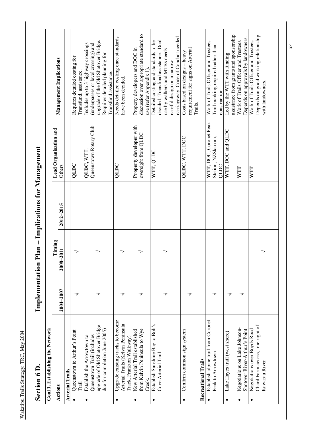|           | Section 6 D                                                   | Implementatio | $\blacksquare$ | <b>Plan – Implications for Management</b> |                                                       |                                                                                           |
|-----------|---------------------------------------------------------------|---------------|----------------|-------------------------------------------|-------------------------------------------------------|-------------------------------------------------------------------------------------------|
|           | Goal 1. Establishing the Network                              |               |                |                                           |                                                       |                                                                                           |
|           | Actions                                                       |               | Timing         |                                           | Lead Organisation and                                 | Management Implications                                                                   |
|           |                                                               | $2004 - 2007$ | 1107-8007      | 2012-2015                                 | Others                                                |                                                                                           |
|           | <b>Arterial Trails</b>                                        |               |                |                                           |                                                       |                                                                                           |
|           | Queenstown to Arthur's Point<br>Trail                         | ᅐ             | 7              |                                           | QLDC                                                  | Requires detailed costing for<br>Transfund. assistance.                                   |
|           | Establish the Arrowtown to                                    |               |                |                                           | QLDC, WTT                                             | Includes up to 3 highway crossings                                                        |
|           | upgrade of Old Shotover Bridge<br>Queenstown Trail (includes  |               | 7              |                                           | Queenstown Rotary Club                                | upgrade of the Old Shotover Bridge.<br>(underpasses or level crossing) and                |
|           | due for completion June 2005)                                 |               |                |                                           |                                                       | Requires detailed planning for<br>Transfund assistance.                                   |
|           | Upgrade existing tracks to become                             |               |                |                                           | QLDC                                                  | Needs detailed costing once standards                                                     |
|           | Arterial Trails (Kelvin Peninsula<br>Track, Frankton Walkway) |               | 7              |                                           |                                                       | have been decided.                                                                        |
| $\bullet$ | New Arterial Trail established                                |               |                |                                           | Property developer with                               | Property developers and DOC in                                                            |
|           | from Kelvin Peninsula to Wye                                  |               |                |                                           | oversight from QLDC                                   | discussion over appropriate standard to                                                   |
|           | Creek                                                         |               |                |                                           |                                                       | use (refer Appendix 1)                                                                    |
| ٠         | Establish Sunshine Bay to Bob's<br>Cove Arterial Trail        |               |                |                                           | WIT, QLDC                                             | decided. Transfund assistance. Dual<br>Detailed costing and standards to be               |
|           |                                                               |               | 7              |                                           |                                                       | use by walkers and MTBs needs                                                             |
|           |                                                               |               |                |                                           |                                                       | careful design on a narrow                                                                |
|           |                                                               |               |                |                                           |                                                       | carriageway. Code of Conduct needed.                                                      |
|           | Confirm common sign system                                    |               |                |                                           | QLDC, WTT, DOC                                        | requirement for signs on Arterial<br>Costs based on designs - heavy<br>Trails.            |
|           | <b>Recreational Trails</b>                                    |               |                |                                           |                                                       |                                                                                           |
|           | Establish alpine trail from Coronet<br>Peak to Arrowtown      |               |                |                                           | WTT, DOC, Coronet Peak<br>Station, NZSki.com,<br>QLDC | Work of Trails Officer and Trustees<br>Trail marking required rather than<br>construction |
| $\bullet$ | Lake Hayes trail (west shore)                                 | マ             |                |                                           | WTT, DOC and QLDC                                     | Led by the WTT with funding                                                               |
|           | Negotiations on Lake Johnson-                                 |               |                |                                           | <b>NTL</b>                                            | assistance from grants and sponsorship<br>Work of Trails Officer and Trustees.            |
|           | Shotover River-Arthur's Point                                 | 7             |                |                                           |                                                       | Depends on approvals by landowners.                                                       |
| ٠         | Negotiations over Boyds Road-                                 |               |                |                                           | <b>NTT</b>                                            | Work of Trails Officer and Trustees                                                       |
|           | Chard Farm access, true right of<br>Kawarau River             |               | 7              |                                           |                                                       | Depends on good working relationship<br>with landowners.                                  |
|           |                                                               |               |                |                                           |                                                       |                                                                                           |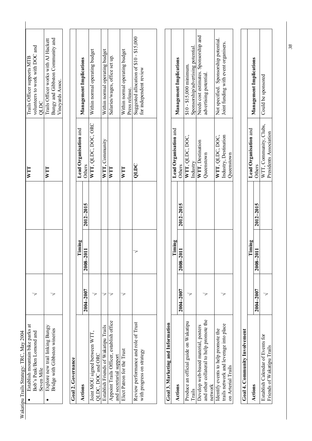| Bungy and Gibbston Community and<br>rails Officer works with AJ Hackett<br>olunteers to work with DOC and<br>Trails Officer supports MTB<br>Vineyards Assoc.<br>JULIC<br>$\Gamma I$<br>VIT<br>Establish mountain bike parks at<br>3xplore new trail linking Bungy<br>Bridge with Gibbston wineries<br>3ob's Peak/Ben Lomond and<br>Seven Mile |  |  |  |  |
|-----------------------------------------------------------------------------------------------------------------------------------------------------------------------------------------------------------------------------------------------------------------------------------------------------------------------------------------------|--|--|--|--|
|                                                                                                                                                                                                                                                                                                                                               |  |  |  |  |
|                                                                                                                                                                                                                                                                                                                                               |  |  |  |  |
|                                                                                                                                                                                                                                                                                                                                               |  |  |  |  |
|                                                                                                                                                                                                                                                                                                                                               |  |  |  |  |
|                                                                                                                                                                                                                                                                                                                                               |  |  |  |  |
|                                                                                                                                                                                                                                                                                                                                               |  |  |  |  |

| Goal 2. Governance                                                  |               |           |           |                       |                                                                   |
|---------------------------------------------------------------------|---------------|-----------|-----------|-----------------------|-------------------------------------------------------------------|
| Actions                                                             |               | Timing    |           | Lead Organisation and | <b>Management Implications</b>                                    |
|                                                                     | $2004 - 2007$ | 2008-2011 | 2012-2015 | Others                |                                                                   |
| oint MOU signed between WTT,<br>QLDC, DOC and ORC                   |               |           |           |                       | WTT, QLDC, DOC, ORC   Within normal operating budget              |
| Establish Friends of Wakatipu Trails                                |               |           |           | WTT, Community        | Within normal operating budget                                    |
| Appoint Trails Officer, establish office<br>and secretarial support |               |           |           | <b>NTT</b>            | Salaries/wages, office set up.                                    |
| Elect Patron for the Trust                                          |               |           |           | WIT                   | Within normal operating budget<br>Press release.                  |
| Review performance and role of Trust<br>with progress on strategy   |               |           |           | OLDC                  | Suggested allocation of \$10 - \$15,000<br>for independent review |

| į   |
|-----|
|     |
|     |
|     |
|     |
|     |
| î   |
| ć   |
|     |
|     |
| ֚֚֬ |
|     |
|     |
|     |
|     |
|     |
|     |
|     |
| ί   |
|     |
|     |
|     |
|     |
|     |
|     |
|     |
|     |
|     |
|     |

| 1000 - 111 AMERICA IV. 111 - 111 AMERICA I |               |           |               |                       |                                       |
|--------------------------------------------|---------------|-----------|---------------|-----------------------|---------------------------------------|
| Actions                                    |               | Timing    |               | Lead Organisation and |                                       |
|                                            | $2004 - 2007$ | 2008-2011 | $2012 - 2015$ | Others                | <b>Management Implications</b>        |
| Produce an official guide on Wakatipu      |               |           |               | WTT, QLDC, DOC,       | $$10 - $15,000$ minimum.              |
| Trails                                     |               |           |               | Industry              | Sponsorship/advertising potential.    |
| Oevelop web-based material, posters        |               |           |               | WTT, Destination      | Needs cost estimates. Sponsorship and |
| and other collateral to help promote the   |               |           |               | Queenstown            | advertising potential.                |
| network                                    |               |           |               |                       |                                       |
| Identify events to help promote the        |               |           |               | WTT, QLDC, DOC,       | Not specified. Sponsorship potential. |
| trails network and leverage into place     |               |           |               | Industry, Destination | Joint funding with event organisers.  |
| on Arterial Trails                         |               |           |               | <b>Queenstown</b>     |                                       |
|                                            |               |           |               |                       |                                       |

| CONTACT        |
|----------------|
|                |
|                |
| l              |
| í              |
|                |
| í              |
|                |
|                |
|                |
| i              |
|                |
|                |
|                |
|                |
| i<br>!<br>!    |
|                |
| Ì              |
| $\overline{1}$ |
|                |
| i              |
|                |
|                |
|                |
|                |
|                |
|                |
| ্              |
|                |

|                       | anagement Implicatio | Could be sponson                |                            |
|-----------------------|----------------------|---------------------------------|----------------------------|
| Lead Organisation and | thers                | Clubs.<br>VTT, Community, L     | residents Association      |
|                       | 2012-2015            |                                 |                            |
| l'iming               | 2008-2011            |                                 |                            |
|                       | $004 - 2007$         |                                 |                            |
| ctions                |                      | stablish Calendar of Events for | Friends of Wakatipu Trails |

*38*

 $\mathsf{l}$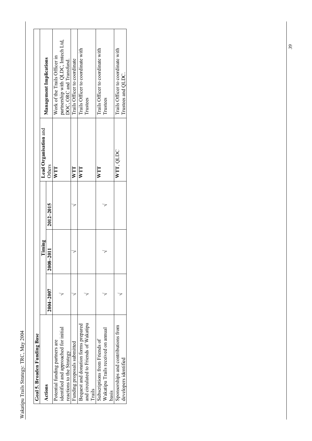| Goal 5. Broaden Funding Base          |               |           |           |                       |                                    |
|---------------------------------------|---------------|-----------|-----------|-----------------------|------------------------------------|
| Actions                               |               | Timing    |           | Lead Organisation and |                                    |
|                                       | $2004 - 2007$ | 2008-2011 | 2012-2015 | Others                | <b>Management Implications</b>     |
| Potential funding partners are        |               |           |           | WTT                   | Work of the Trails Officer in      |
| identified and approached for initial |               |           |           |                       | partnership with QLDC, Imtech Ltd, |
| reactions to the Strategy             |               |           |           |                       | DOC, ORC and Transfund.            |
| Funding proposals submitted           |               |           |           | WIT                   | Trails Officer to coordinate       |
| Bequest and donation forms prepared   |               |           |           | WIT                   | Trails Officer to coordinate with  |
| and circulated to Friends of Wakatipu |               |           |           |                       | Trustees                           |
| Trails                                |               |           |           |                       |                                    |
| Subscriptions from Friends of         |               |           |           | NTT                   | Trails Officer to coordinate with  |
| Wakatipu Trails received on annual    |               |           |           |                       | Trustees                           |
| basis                                 |               |           |           |                       |                                    |
| Sponsorships and contributions from   |               |           |           | WTT, QLDC             | Trails Officer to coordinate with  |
| developers identified                 |               |           |           |                       | Trustees and QLDC.                 |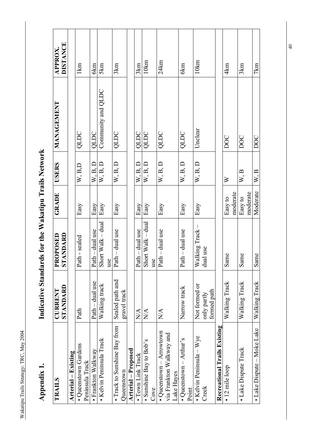|                                     | DISTANCE<br><b>APPROX.</b>              |                     | 1km                                     | 6km                | 5km                      | 3km                          |              |                            | 3km               | 10km                    |      | 24km                             |                          |            | 6km                       |       | 10km                             |                            |                              | 4km                   |          | 3km                   |          | 7km                        |
|-------------------------------------|-----------------------------------------|---------------------|-----------------------------------------|--------------------|--------------------------|------------------------------|--------------|----------------------------|-------------------|-------------------------|------|----------------------------------|--------------------------|------------|---------------------------|-------|----------------------------------|----------------------------|------------------------------|-----------------------|----------|-----------------------|----------|----------------------------|
|                                     | <b>MANAGEMENT</b>                       |                     | QLDC                                    | QLDC               | Community and QLDC       | QLDC                         |              |                            | QLDC              | QLDC                    |      | QLDC                             |                          |            | QLDC                      |       | Unclear                          |                            |                              | DOC                   |          | DOC                   |          | <b>DOC</b>                 |
|                                     | <b>USERS</b>                            |                     | W, B, D                                 | W, B, D            | W, B, D                  | W, B, D                      |              |                            | W, B, D           | W, B, D                 |      | W, B, D                          |                          |            | W, B, D                   |       | W, B, D                          |                            |                              | $\geq$                |          | W, B                  |          | W, B                       |
|                                     | GRADE                                   |                     | Easy                                    | Easy               | Easy                     | Easy                         |              |                            | Easy              | Easy                    |      | Easy                             |                          |            | Easy                      |       | Easy                             |                            |                              | Easy to               | moderate | Easy to               | moderate | Moderate                   |
| rds for the Wakatipu Trails Network | <b>ARANDARD</b><br>STANDARD<br>PROPOSED |                     | Path - sealed                           | Path – dual use    | Short Walk - dual<br>use | Path - dual use              |              |                            | Path - dual use   | Short Walk - dual       | use  | ath-dual use                     |                          |            | ath - dual use<br>⊶       |       | Walking Track -                  | dual use                   |                              | same<br>$\mathcal{L}$ |          | same<br>$\mathcal{L}$ |          | Same                       |
| Indicative Standa                   | STANDARD<br><b>CURRENT</b>              |                     | Path                                    | Path – dual use    | Walking track            | Sealed path and              | gravel track |                            | N/A               | $\sum_{i=1}^{n}$        |      | $\sum_{i=1}^{n}$                 |                          |            | Narrow track              |       | Not formed or                    | formed path<br>only partly |                              | Walking Track         |          | Walking Track         |          | Walking Track              |
| Appendix 1                          | <b>TRAILS</b>                           | Arterial – Existing | • Queenstown Gardens<br>Peninsula Track | • Frankton Walkway | • Kelvin Peninsula Track | • Track to Sunshine Bay from | Queenstown   | <b>Arterial</b> - Proposed | • Town Link Track | • Sunshine Bay to Bob's | Cove | $\bullet$ Queenstown – Arrowtown | via Frankton Walkway and | Lake Hayes | • Queenstown $-$ Arthur's | Point | $\bullet$ Kelvin Peninsula – Wye | Creek                      | Recreational Trails Existing | · 12 mile loop        |          | • Lake Dispute Track  |          | • Lake Dispute – Moke Lake |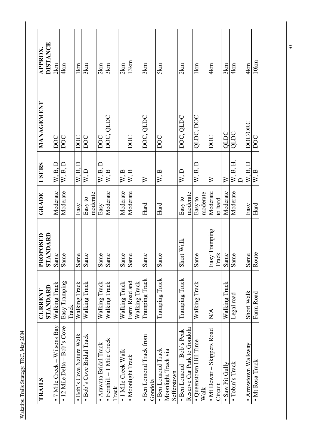| <b>TRAILS</b>                                                    | STANDARD<br><b>CURRENT</b>     | STANDARD<br>PROPOSED   | GRADE               | <b>USERS</b>     | <b>MANAGEMENT</b> | <b>DISTANCE</b><br><b>APPROX</b> |
|------------------------------------------------------------------|--------------------------------|------------------------|---------------------|------------------|-------------------|----------------------------------|
| $\bullet$ 7 Mile Creek - Wilsons Bay                             | Walking Track                  | Same                   | Moderate            | W, B, D          | <b>DOC</b>        | 2km                              |
| $\bullet$ 12 Mile Delta – Bob's Cove                             | Easy Tramping<br>Track         | Same                   | Moderate            | W, B, D          | DOC               | 4km                              |
| · Bob's Cove Nature Walk                                         | Walking Track                  | Same                   | Easy                | W, B, D          | DOC               | $1 \text{km}$                    |
| · Bob's Cove Bridal Track                                        | Walking Track                  | Same                   | moderate<br>Easy to | W, D             | <b>DOC</b>        | 3km                              |
| · Arawata Bridal Track                                           | Walking Track                  | Same                   | Easy                | W.B.D            | DOC               | 2km                              |
| $\bullet$ Femhill $-1$ Mile Creek<br>Track                       | Walking Track                  | Same                   | Moderate            | W, B             | DOC, QLDC         | 3km                              |
| · 1 Mile Creek Walk                                              | Walking Track                  | Same                   | Moderate            | W, B             |                   | 2km                              |
| · Moonlight Track                                                | Farm Road and<br>Walking Track | Same<br>Ω,             | Moderate            | W, B             | DOC               | 13km                             |
| • Ben Lomond Track from<br>Gondola                               | Tramping Track                 | Same                   | Hard                | $\geq$           | DOC, QLDC         | 3km                              |
| · Ben Lomond Track<br>Moonlight Track via<br>Sefferstown         | Tramping Track                 | Same                   | Hard                | W, B             | DOC               | 5km                              |
| Reserve Car Park to Gondola<br>$\bullet$ Ben Lomond – Bob's Peak | Tramping Track                 | Short Walk             | moderate<br>Easy to | W, D             | DOC, QLDC         | 2km                              |
| · Queenstown Hill Time<br>Walk                                   | Walking Track                  | Same                   | moderate<br>Easy to | W, B, D          | QLDC, DOC         | $1 \text{km}$                    |
| • Mt Dewar - Skippers Road<br>Circuit                            | N/A                            | Easy Tramping<br>Track | Moderate<br>to hard | $\triangleright$ | DOC               | 4km                              |
| · Saw Pit Gully                                                  | Walking Track                  | Same                   | Moderate            | $\geq$           | QLDC              | 3km                              |
| · Tobin's Track                                                  | Legal road                     | Same                   | Moderate            | $W$ , B, H,      | QLDC              | 4km                              |
| • Arrowtown Walkway                                              | Short Walk                     | Same                   | Easy                | W, B, D          | DOC/ORC           | 4km                              |
| • Mt Rosa Track                                                  | Farm Road                      | Route                  | Hard                | W, B             | DOC               | 10km                             |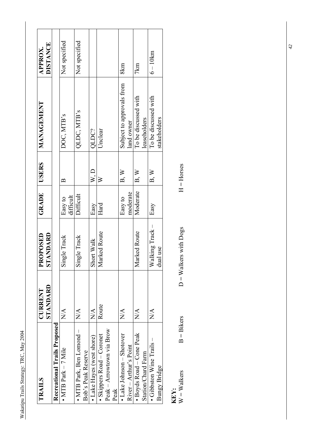| ŝ     |  |
|-------|--|
|       |  |
| くらし   |  |
| 27777 |  |
| rails |  |
|       |  |

| TRAILS                              | STANDARD<br>CURRENT                       | TANDARD<br><b>ROPOSED</b><br>۵ | GRADE     | <b>USERS</b>             | MANAGEMENT                | DISTANCE<br><b>APPROX</b> |
|-------------------------------------|-------------------------------------------|--------------------------------|-----------|--------------------------|---------------------------|---------------------------|
| Recreational Trails Proposed        |                                           |                                |           |                          |                           |                           |
| $\bullet$ MTB Park $-7$ Mile        | $\overline{\mathrm{N}}\mathrm{A}$         | ingle Track<br>5               | Easy to   | $\approx$                | DOC, MTB's                | Not specified             |
|                                     |                                           |                                | difficult |                          |                           |                           |
| • MTB Park, Ben Lomond $-$          | $\frac{\mathsf{A}}{\mathsf{N}\mathsf{A}}$ | ingle Track<br>5               | Difficult |                          | QLDC, MTB's               | Not specified             |
| Bob's Peak Reserve                  |                                           |                                |           |                          |                           |                           |
| • Lake Hayes (west shore)           | $\sum_{i=1}^{\infty}$                     | Short Walk                     | Easy      | W, D                     | QLDC?                     |                           |
| · Skippers Road - Coronet           | Route                                     | Marked Route                   | Hard      | $\geqslant$              | Unclear                   |                           |
| Peak - Arrowtown via Brow           |                                           |                                |           |                          |                           |                           |
| Peak                                |                                           |                                |           |                          |                           |                           |
| $\bullet$ Lake Johnson $-$ Shotover | $\sum_{i=1}^{n}$                          |                                | Easy to   | B, W                     | Subject to approvals from | 8km                       |
| River – Arthur's Point              |                                           |                                | moderate  |                          | land owner                |                           |
| · Boyds Road - Cone Peak            | $\mathbb{X}^{\mathsf{A}}$                 | larked Route<br>⋝              | Moderate  | $\mathbf{B}, \mathbf{W}$ | To be discussed with      | 7km                       |
| Station/Chard Farm                  |                                           |                                |           |                          | leaseholders              |                           |
| • Gibbston Wine Trails $-$          | $\mathbb{X}^{\mathsf{A}}$                 | Walking Track –                | Easy      | B, W                     | To be discussed with      | $6 - 10km$                |
| Bungy Bridge                        |                                           | dual use                       |           |                          | stakeholders              |                           |
|                                     |                                           |                                |           |                          |                           |                           |

 $KEY:$ <br>W = Walkers

 $W = Walkers$  B = Bikers  $D = Walders$  with Dogs  $H = Horses$  $B = Bikers$ 

 $D =$  Walkers with  $Dogs$ 

 $H =$ Horses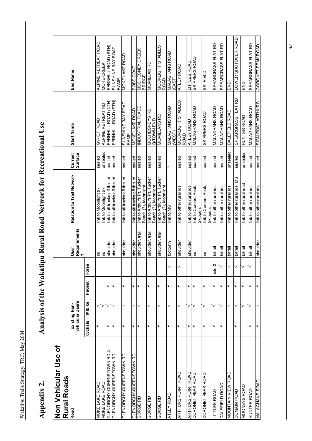## Appendix 2.

# Analysis of the Wakatipu Rural Road Network for Recreational Use Appendix 2. Analysis of the Wakatipu Rural Road Network for Recreational Use

| Non Vehicular Use of<br><b>Rural Roads</b> |          |                                  |        |              |                           |                                                     |                           |                                  |                                         |  |
|--------------------------------------------|----------|----------------------------------|--------|--------------|---------------------------|-----------------------------------------------------|---------------------------|----------------------------------|-----------------------------------------|--|
| Road                                       |          | vehicular Users<br>Existing Non- |        |              | Requirements<br>1<br>User | Relation to Trail Network                           | <b>Surface</b><br>Current | <b>Start Name</b>                | End Name                                |  |
|                                            | cyclists | Mtbike                           | Pedest | Horse        |                           |                                                     |                           |                                  |                                         |  |
| MOKE LAKE ROAD                             | >        | ≻                                |        |              | ΓS                        | link to Moonlight trk                               | sealed                    | GY-QT ROAD                       | ALPINE RETREAT ROAD                     |  |
| MOKE LAKE ROAD                             |          | ➤                                |        |              | ns                        | link to Moonlight trk                               | unsealed                  | ALPINE RETREAT RD                | MOKE CREEK                              |  |
| GLENORCHY-QUEENSTOWN RD 4                  | ⋗        | >                                | >      |              | shoulder                  | link to all tracks off this rd                      | sealed                    | FERNHILL ROAD (NTH)              | FERNHILL ROAD (STH)                     |  |
| GLENORCHY-QUEENSTOWN RD                    | ₹        | >                                | >      |              | shoulder                  | link to all tracks off this rd                      | sealed                    | FERNHILL ROAD (STH)              | <b>LYOB AVB 3NIHSNNS</b><br>RAMP        |  |
| GLENORCHY-QUEENSTOWN RD                    | >        | >                                | >      |              | shoulder                  | link to all tracks off this rd                      | sealed                    | SUNSHINE BAY BOAT<br>RAMP        | MOKE LAKE ROAD                          |  |
| GLENORCHY-QUEENSTOWN RD                    | >        | >                                | >      |              | shoulder                  | link to all tracks off this rd                      | sealed                    | MOKE LAKE ROAD                   | <b>BOBS COVE</b>                        |  |
| GORGE RD                                   | >        | >                                | >      |              | shoulder, trail           | link to Arthur's Pt, Tucker<br>Beach (?), Moonlight | sealed                    | INDUSTRIAL PLACE                 | <b>MCCHESNEY CREEK</b><br><b>BRIDGE</b> |  |
| GORGE RD                                   | >        | >                                | >      |              | shoulder, trail           | link to Arthur's Pt, Tucker<br>Beach (?), Moonlight | sealed                    | MCCHESNEYS RD<br>Q/TOWN END      | MCMILLAN RD                             |  |
| GORGE RD                                   | >        | >                                | >      |              | shoulder, trai            | link to Arthur's Pt, Tucker<br>Beach (?), Moonlight | sealed                    | MCMILLANS RD                     | MOONLIGHT STABLES<br><b>ROAD</b>        |  |
| ATLEY ROAD                                 | >        | >                                | >      | ≧            | footpath                  | link to MS                                          | $\sim$                    | MALAGHANS ROAD<br><b>WEST</b>    | MALAGHANS ROAD<br><b>EAST</b>           |  |
| ARTHURS POINT ROAD                         | ⋗        | >                                | >      | >            | shoulder                  | link to other rural rds                             | sealed                    | MOONLIGHT STABLES<br><b>ROAD</b> | ATLEY ROAD                              |  |
| <b>ARTHURS POINT ROAD</b>                  | >        | ≻                                | >      |              | shoulder                  | link to other rural rds                             | sealed                    | ATLEY ROAD                       | LITTLES ROAD                            |  |
| CORONET PEAK ROAD                          | 7        | >                                | >      |              | ΓS                        | link to Coronet Peak,<br><b>Skippers</b>            | sealed                    | <b>MALAGHANS ROAD</b>            | SKIPPERS ROAD                           |  |
| CORONET PEAK ROAD                          | >        | >                                | >      |              | ns                        | link to Coronet Peak,<br><b>Skippers</b>            | sealed                    | SKIPPERS ROAD                    | SKI FIELD                               |  |
| <b>LITTLES ROAD</b>                        | >        | >                                | >      | note 2       | <b>b/trail</b>            | link to other rural rds                             | sealed                    | <b>MALAGHANS ROAD</b>            | SPEARGRASS FLAT RD                      |  |
| <b>DALEFIELD ROAD</b>                      | >        | >                                | >      | $\checkmark$ | <b>b/trail</b>            | link to other rural rds                             | sealed                    | <b>MALAGHANS ROAD</b>            | SPEARGRASS FLAT RD                      |  |
| MOUNTAIN VIEW ROAD                         |          | >                                | ⋗      | ≧            | <b>b/trail</b>            | link to other rural rds                             | unsealed                  | DALEFIELD ROAD                   | END                                     |  |
| <b>DOMAIN ROAD</b>                         | >        | >                                | >      | $\geq$       | <b>b</b> /trail           | ink to other rural rds, MS                          | sealed                    | SPEARGRASS FLAT RD               | LOWER SHOTOVER ROAD                     |  |
| MOONEYS ROAD                               |          | >                                | >      | >            | <b>b/trail</b>            | link to other rural road                            | unsealed                  | HUNTER ROAD                      | 오<br>EM                                 |  |
| HUNTER ROAD                                | >        | >                                | >      | ▽            | <b>b</b> /trail           | ink to other rural rds                              | sealed                    | <b>MALAGHANS ROAD</b>            | SPEARGRASS FLAT RD                      |  |
| <b>MALAGHANS ROAD</b>                      |          |                                  |        |              | shoulder                  | link to other rural rds                             | sealed                    | <b>SIGN POST ARTHURS</b>         | CORONET PEAK ROAD                       |  |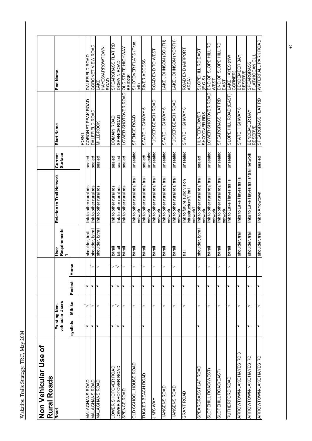| ş             |  |
|---------------|--|
| $\frac{1}{4}$ |  |
| TRC.          |  |
| Strategy:     |  |
| ails<br>۱     |  |
|               |  |

| Non Vehicular Use of<br>Rural Roads |          |                                  |        |        |                           |                                                                  |                    |                                     |                                           |  |
|-------------------------------------|----------|----------------------------------|--------|--------|---------------------------|------------------------------------------------------------------|--------------------|-------------------------------------|-------------------------------------------|--|
| Road                                |          | vehicular Users<br>Existing Non- |        |        | Requirements<br>1<br>User | Relation to Trail Network                                        | Current<br>Surface | <b>Start Name</b>                   | End Name                                  |  |
|                                     | cyclists | Mtbike                           | Pedest | Horse  |                           |                                                                  |                    |                                     |                                           |  |
|                                     |          |                                  |        |        |                           |                                                                  |                    | POINT                               |                                           |  |
| MALAGHANS ROAD                      | >        | ⋗                                | >      |        | shoulder, trail           | link to other rural rds                                          | sealed             | CORONET PEAK ROAD                   | DALEFIELD ROAD                            |  |
| <b>MALAGHANS ROAD</b>               | >        | >                                | >      | ≻ ि    | shoulder, b/trail         | link to other rural rds                                          | sealed             | DALEFIELD ROAD                      | CORONET VIEW ROAD                         |  |
| <b>MALAGHANS ROAD</b>               | >        |                                  |        |        | shoulder, b/trail         | link to other rural rds                                          | sealed             | <b>MILLBROOK</b>                    | HAYES/ARROWTOWN<br><b>ROAD</b><br>LAKE    |  |
| LOWER SHOTOVER ROAD                 | >        | >                                | >      | ≻      | <b>b/trail</b>            | link to other rural rds                                          | sealed             | DOMAIN ROAD                         | SPEARGRASS FLAT RD                        |  |
| LOWER SHOTOVER ROAD                 | >        | >                                | >      | $\geq$ | <b>b/trail</b>            | link to other rural rds                                          | sealed             | SPENCE ROAD                         | DOMAIN ROAD                               |  |
| SPENCE ROAD                         | 7        | ॽ                                | >      |        | b/trail                   | ink to other rural rds                                           | sealed             | <b>LOWER SHOTOVER ROAD</b>          | <b>OLD STATE HIGHWAY</b><br><b>BRIDGE</b> |  |
| OLD SCHOOL HOUSE ROAD               |          | >                                | >      | >      | <b>b/trail</b>            | link to other rural rds/ trail<br>network                        | unsealed           | SPENCE ROAD                         | SHOTOVER FLATS (True<br>left)             |  |
| <b>TUCKER BEACH ROAD</b>            | >        | >                                | >      | ↘      | b/trail                   | link to other rural rds/ trail                                   | sealed/            | STATE HIGHWAY 6                     | RIVER ACCESS                              |  |
|                                     |          |                                  |        |        |                           | network                                                          | unsealed           |                                     |                                           |  |
| <b><i>HAN SWIL</i></b>              |          |                                  | >      | 7      | b/trail                   | link to other rural rds/ trail<br>network                        | unsealed           | <b>TUCKER BEACH ROAD</b>            | ROAD END TO WEST                          |  |
| HANSENS ROAD                        |          | >                                | >      | ≻      | b/trail                   | link to other rural rds/ trail<br>network                        | unsealed           | STATE HIGHWAY 6                     | LAKE JOHNSON (SOUTH)                      |  |
| HANSENS ROAD                        |          | >                                | >      | ▽      | b/trail                   | link to other rural rds/ trail<br>network                        | unsealed           | <b>TUCKER BEACH ROAD</b>            | LAKE JOHNSON (NORTH)                      |  |
| <b>GRANT ROAD</b>                   |          | >                                | >      |        | lient                     | link to future subdivision<br>infrastructure?/ trail<br>network? | unsealed           | STATE HIGHWAY 6                     | ROAD END (AIRPORT<br>AREA)                |  |
| SPEARGRASS FLAT ROAD                | >        | ⋗                                | >      | ↘      | shoulder, b/trail         | link to other rural rds/ trail<br>network                        | sealed             | <b>HUNTER/LOWER</b><br>SHOTOVER RDS | SLOPEHILL RD EAST<br>(E.O.S)              |  |
| SLOPEHILL ROAD(WEST)                |          | ⋗                                | >      | ⊳      | b/trail                   | link to other rural rds/ trail                                   | unsealed           | LOWER SHOTOVER ROAD                 | <b>SLOPE HILL RD</b><br>END OF<br>WEST    |  |
| SLOPEHILL ROAD(EAST)                |          | >                                | >      | ⊳      | <b>b/trail</b>            | link to other rural rds/ trail<br>network<br>network             | unsealed           | SPEARGRASS FLAT RD                  | END OF SLOPE HILL RD<br>EAST              |  |
| RUTHERFORD ROAD                     |          | ⋗                                | >      | r      | <b>b/trail</b>            | ink to Lake Hayes trails                                         | unsealed           | SLOPE HILL ROAD (EAST)              | LAKE HAYES (NW<br>CORNER)                 |  |
| ARROWTOWN-LAKE HAYES RD 3           | ⋗        |                                  | >      |        | shoulder, trail           | links to Lake Hayes trails                                       |                    | STATE HIGHWAY 6                     | BENDEMEER BAY<br><b>RESERVE</b>           |  |
| ARROWTOWN-LAKE HAYES RD             | >        | >                                | >      | ⊳      | shoulder, trail           | links to Lake Hayes trails/ trail network                        |                    | BENDEMEER BAY<br><b>RESERVE</b>     | FLAT/HOGAN GUL<br><b>SPEARGRASS</b>       |  |
| ARROWTOWN-LAKE HAYES RD             | >        |                                  |        |        | shoulder, trail           | link to Arrowtown                                                | sealed             | SPEARGRASS FLAT RD                  | WATERFALL PARK ROAD                       |  |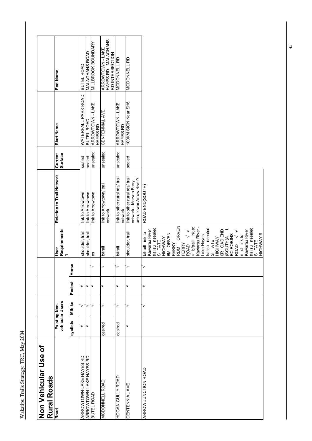| $\tilde{\zeta}$<br>$\tilde{a}$ |  |
|--------------------------------|--|
| r<br>F<br>ز                    |  |
| $+ra+earri$<br>į               |  |
| L<br>rails                     |  |
|                                |  |

| Non Vehicular Use of<br><b>Roads</b><br>Rural |                                  |        |        |                        |                                                                                                                                                                                                                                                                                                                                                                                                                              |                                                                                      |                           |                                     |                                                                    |
|-----------------------------------------------|----------------------------------|--------|--------|------------------------|------------------------------------------------------------------------------------------------------------------------------------------------------------------------------------------------------------------------------------------------------------------------------------------------------------------------------------------------------------------------------------------------------------------------------|--------------------------------------------------------------------------------------|---------------------------|-------------------------------------|--------------------------------------------------------------------|
| Road                                          | vehicular Users<br>Existing Non- |        |        |                        | Requirements<br>User                                                                                                                                                                                                                                                                                                                                                                                                         | Relation to Trail Network                                                            | <b>Surface</b><br>Current | <b>Start Name</b>                   | End Name                                                           |
|                                               | cyclists                         | Mtbike | Pedest | $\pmb{\omega}$<br>Hors |                                                                                                                                                                                                                                                                                                                                                                                                                              |                                                                                      |                           |                                     |                                                                    |
| ARROWTOWN-LAKE HAYES RD                       | >                                | ≻      | >      |                        | shoulder, trail                                                                                                                                                                                                                                                                                                                                                                                                              | link to Arrowtown                                                                    | sealed                    | WATERFALL PARK ROAD                 | BUTEL ROAD                                                         |
| ARROWTOWN-LAKE HAYES RD                       | ₹                                | >      | >      |                        | shoulder, trail                                                                                                                                                                                                                                                                                                                                                                                                              | link to Arrowtown                                                                    | sealed                    | <b>BUTEL ROAD</b>                   | MALAGHANS ROAD                                                     |
| BUTEL ROAD                                    |                                  | >      | >      |                        | ns                                                                                                                                                                                                                                                                                                                                                                                                                           | link to Arrowtown                                                                    | unsealed                  | ARROWTOWN - LAKE<br>HAYES RD        | <b>MILTBLOOK BOUNDARY</b>                                          |
| <b>MCDONNELL ROAD</b>                         | desired                          | ₹      |        |                        | <b>b/trail</b>                                                                                                                                                                                                                                                                                                                                                                                                               | link to Arrowtown/ trail<br>network                                                  | unsealed                  | <b>CENTENNIAL AVE</b>               | HAYES RD - MALAGHANS<br><b>ARROWTOWN - LAKE</b><br>RD INTERSECTION |
| HOGAN GULLY ROAD                              | desired                          | >      | ⋗      |                        | <b>b/trail</b>                                                                                                                                                                                                                                                                                                                                                                                                               | link to other rural rds/ trail<br>network                                            | unsealed                  | <b>ARROWTOWN - LAKE</b><br>HAYES RD | <b>MCDONNELL RD</b>                                                |
| CENTENNIAL AVE                                |                                  | >      | ॽ      |                        | shoulder, trail                                                                                                                                                                                                                                                                                                                                                                                                              | link to other rural rds/ trail<br>area, lower Arrow River?<br>network - Morven Ferry | sealed                    | 100KM SIGN Near SH6                 | <b>MCDONNELL RD</b>                                                |
| <b>ARROW JUNCTION ROAD</b>                    |                                  | >      | >      |                        | ORVEN<br>V b/traill ink to<br>Kawarau River-<br>trailsu nsealed<br>S TATE<br>trailsu nsealed<br>trailsu nsealed<br>GR OAD END<br>Kawarau River<br><b>Kawarau River</b><br>$\checkmark$ $\checkmark$<br>b/traill ink to<br>6M ORVEN<br>$(SOUTH)$ A<br>EC ROBINS<br>ROAD<br>$\sqrt{7}$<br>HIGHWAY 6<br>ake Hayes<br>n sl inkto<br><b>HIGHWAY</b><br>HIGHWAY<br>S TATE<br>S TATE<br>FERRY<br>FERRY<br><b>ROAD</b><br><b>RDM</b> | ROAD END(SOUTH)                                                                      |                           |                                     |                                                                    |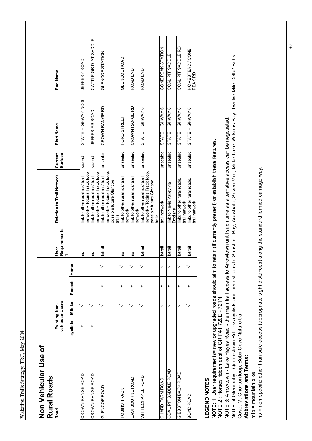| İ                  |  |
|--------------------|--|
|                    |  |
|                    |  |
| ζ<br>F             |  |
| <b>TAG+</b><br>Ì   |  |
| $\frac{c}{c}$<br>Į |  |
|                    |  |

| Non Vehicular Use of<br>Rural Roads |          |                                  |        |       |                      |                                                                                                     |                           |                       |                             |
|-------------------------------------|----------|----------------------------------|--------|-------|----------------------|-----------------------------------------------------------------------------------------------------|---------------------------|-----------------------|-----------------------------|
| Road                                |          | vehicular Users<br>Existing Non- |        |       | Requirements<br>User | Relation to Trail Network                                                                           | <b>Surface</b><br>Current | <b>Start Name</b>     | End Name                    |
|                                     | cyclists | Mtbike                           | Pedest | Horse |                      |                                                                                                     |                           |                       |                             |
| CROWN RANGE ROAD                    |          |                                  |        |       | ns                   | network - Tobins Track loop<br>ink to other rural rds/ trail                                        | sealed                    | STATE HIGHWAY NO.6    | JEFFERY ROAD                |
| CROWN RANGE ROAD                    |          |                                  |        |       | Su                   | network - Tobins Track loop<br>link to other rural rds/ trail                                       | sealed                    | <b>JEFFERIES ROAD</b> | CATTLE GRID AT SADDLE       |
| <b>GLENCOE ROAD</b>                 |          |                                  |        |       | <b>b/trail</b>       | network - Tobins Track loop,<br>link to other rural rds/ trail<br>possible future Glencoe<br>trails | unsealed                  | CROWN RANGE RD        | GLENCOE STATION             |
| TOBINS TRACK                        |          |                                  |        | >     | ΓS                   | link to other rural rds/ trail<br>network                                                           | unsealed                  | FORD STREET           | GLENCOE ROAD                |
| EASTBOURNE ROAD                     |          |                                  |        | >     | ns                   | link to other rural rds/ trail<br>network                                                           | unsealed                  | CROWN RANGE RD        | ROAD END                    |
| WHITECHAPEL ROAD                    |          |                                  |        | ≧     | <b>b</b> /trail      | network - Tobins Track loop,<br>link to other rural rds/ trail<br>possible future Glencoe<br>trails | unsealed                  | STATE HIGHWAY 6       | ROAD END                    |
| CHARD FARM ROAD                     |          |                                  |        | >     | b/trail              | trail network                                                                                       | unsealed                  | STATE HIGHWAY 6       | CONE PEAK STATION           |
| COAL PIT SADDLE ROAD                |          |                                  |        | ▽     | b/trail              | link to Nevis Valley via<br>Doolans                                                                 | unsealed                  | STATE HIGHWAY 6       | COAL PIT SADDLE             |
| GIBBSTON BACK ROAD                  |          |                                  |        | r     | <b>b/trail</b>       | links to other rural roads/<br>trail network                                                        | unsealed                  | STATE HIGHWAY 6       | COAL PIT SADDLE RD          |
| BOYD ROAD                           |          |                                  |        | >     | <b>b/trail</b>       | links to other rural roads/<br>trail network                                                        | unsealed                  | STATE HIGHWAY 6       | HOMESTEAD / CONE<br>PEAK RD |

### LEGEND NOTES **LEGEND NOTES**

NOTE: 1 User requirements= new or upgraded roads should aim to retain (if currently present) or establish these features.<br>NOTE 2 : Horses ridden east of GR F41 720E - 721N NOTE: 1 User requirements= new or upgraded roads should aim to retain (if currently present) or establish these features.

NOTE 2 : Horses ridden east of GR F41 720E - 721N

NOTE 3: Arrowtown - Lake Hayes Road - the main trail access to Arrowtown until such time as alternative access can be negotiated. NOTE 3: Arrowtown - Lake Hayes Road - the main trail access to Arrowtown until such time as alternative access can be negotiated.

NOTE: 4 Glenorchy - Queenstown Rd links cyclists and pedestrians to Sunshine Bay, Arawhata, Seven Mile, Moke Lake, Wilsons Bay, Twelve Mile Delta/ Bobs<br>Cove, Mt Crichton loop, Bobs Cove Nature trail NOTE: 4 Glenorchy - Queenstown Rd links cyclists and pedestrians to Sunshine Bay, Arawhata, Seven Mile, Moke Lake, Wilsons Bay, Twelve Mile Delta/ Bobs Cove, Mt Crichton loop, Bobs Cove Nature trail

Abbreviations and Terms: **Abbreviations and Terms:**

 $mtb = mountain bike$ mtb = mountain bike

ns = non-specific other than safe access (appropriate sight distances) along the standard formed carriage way. ns = non-specific other than safe access (appropriate sight distances) along the standard formed carriage way.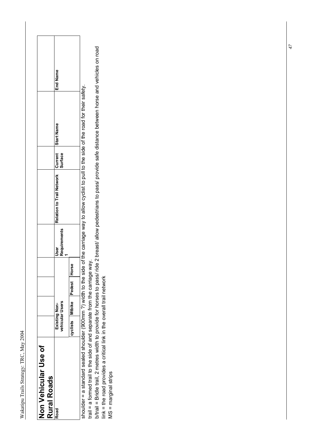| Ş             |  |
|---------------|--|
|               |  |
| $\frac{1}{2}$ |  |
|               |  |
| ز             |  |
| r<br>F        |  |
| i<br>í        |  |
| ã             |  |
|               |  |

| End Name |
|----------|
|----------|

shoulder = a standard sealed shoulder (900mm ?) width to the carriage way to allow cyclist to pull to the side of the road for their safety. shoulder = a standard sealed shoulder (900mm ?) width to the side of the carriage way to allow cyclist to pull to the side of the road for their safety. trail = a formed trail to the side of and separate from the carriage way. trail = a formed trail to the side of and separate from the carriage way.

b/trail = Bridle trail, 2 metres width to provide for horses to pass/ ride 2 breast/ allow pedestrians to pass/ provide safe distance between horse and vehicles on road b/trail = Bridle trail, 2 metres width to provide for horses to pass/ ride 2 breast/ allow pedestrians to pass/ provide safe distance between horse and vehicles on road link = the road provides a critical link in the overall trail network link = the road provides a critical link in the overall trail network

 $MS = marginal strips$ MS = marginal strips